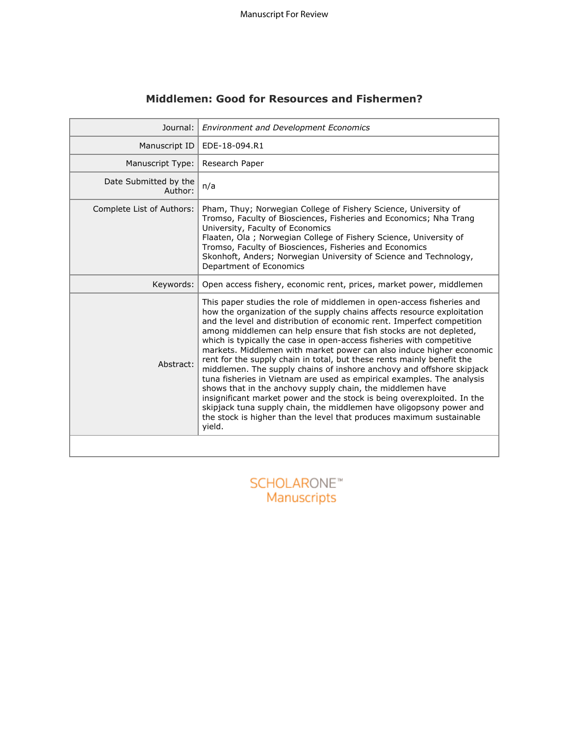| Journal:                         | <b>Environment and Development Economics</b>                                                                                                                                                                                                                                                                                                                                                                                                                                                                                                                                                                                                                                                                                                                                                                                                                                                                                                                                     |
|----------------------------------|----------------------------------------------------------------------------------------------------------------------------------------------------------------------------------------------------------------------------------------------------------------------------------------------------------------------------------------------------------------------------------------------------------------------------------------------------------------------------------------------------------------------------------------------------------------------------------------------------------------------------------------------------------------------------------------------------------------------------------------------------------------------------------------------------------------------------------------------------------------------------------------------------------------------------------------------------------------------------------|
| Manuscript ID                    | EDE-18-094.R1                                                                                                                                                                                                                                                                                                                                                                                                                                                                                                                                                                                                                                                                                                                                                                                                                                                                                                                                                                    |
| Manuscript Type:                 | Research Paper                                                                                                                                                                                                                                                                                                                                                                                                                                                                                                                                                                                                                                                                                                                                                                                                                                                                                                                                                                   |
| Date Submitted by the<br>Author: | n/a                                                                                                                                                                                                                                                                                                                                                                                                                                                                                                                                                                                                                                                                                                                                                                                                                                                                                                                                                                              |
| Complete List of Authors:        | Pham, Thuy; Norwegian College of Fishery Science, University of<br>Tromso, Faculty of Biosciences, Fisheries and Economics; Nha Trang<br>University, Faculty of Economics<br>Flaaten, Ola ; Norwegian College of Fishery Science, University of<br>Tromso, Faculty of Biosciences, Fisheries and Economics<br>Skonhoft, Anders; Norwegian University of Science and Technology,<br>Department of Economics                                                                                                                                                                                                                                                                                                                                                                                                                                                                                                                                                                       |
| Keywords:                        | Open access fishery, economic rent, prices, market power, middlemen                                                                                                                                                                                                                                                                                                                                                                                                                                                                                                                                                                                                                                                                                                                                                                                                                                                                                                              |
| Abstract:                        | This paper studies the role of middlemen in open-access fisheries and<br>how the organization of the supply chains affects resource exploitation<br>and the level and distribution of economic rent. Imperfect competition<br>among middlemen can help ensure that fish stocks are not depleted,<br>which is typically the case in open-access fisheries with competitive<br>markets. Middlemen with market power can also induce higher economic<br>rent for the supply chain in total, but these rents mainly benefit the<br>middlemen. The supply chains of inshore anchovy and offshore skipjack<br>tuna fisheries in Vietnam are used as empirical examples. The analysis<br>shows that in the anchovy supply chain, the middlemen have<br>insignificant market power and the stock is being overexploited. In the<br>skipjack tuna supply chain, the middlemen have oligopsony power and<br>the stock is higher than the level that produces maximum sustainable<br>yield. |
|                                  |                                                                                                                                                                                                                                                                                                                                                                                                                                                                                                                                                                                                                                                                                                                                                                                                                                                                                                                                                                                  |

# **Middlemen: Good for Resources and Fishermen?**

SCHOLARONE<sup>"</sup><br>Manuscripts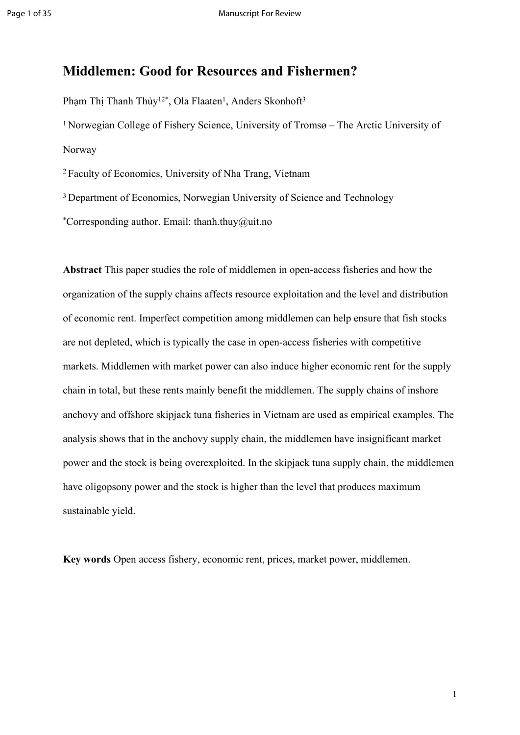# **Middlemen: Good for Resources and Fishermen?**

Phạm Thị Thanh Thủy<sup>12\*</sup>, Ola Flaaten<sup>1</sup>, Anders Skonhoft<sup>3</sup> <sup>1</sup>Norwegian College of Fishery Science, University of Tromsø – The Arctic University of Norway

<sup>2</sup>Faculty of Economics, University of Nha Trang, Vietnam

<sup>3</sup> Department of Economics, Norwegian University of Science and Technology

\*Corresponding author. Email: thanh.thuy@uit.no

**Abstract** This paper studies the role of middlemen in open-access fisheries and how the organization of the supply chains affects resource exploitation and the level and distribution of economic rent. Imperfect competition among middlemen can help ensure that fish stocks are not depleted, which is typically the case in open-access fisheries with competitive markets. Middlemen with market power can also induce higher economic rent for the supply chain in total, but these rents mainly benefit the middlemen. The supply chains of inshore anchovy and offshore skipjack tuna fisheries in Vietnam are used as empirical examples. The analysis shows that in the anchovy supply chain, the middlemen have insignificant market power and the stock is being overexploited. In the skipjack tuna supply chain, the middlemen have oligopsony power and the stock is higher than the level that produces maximum sustainable yield.

**Key words** Open access fishery, economic rent, prices, market power, middlemen.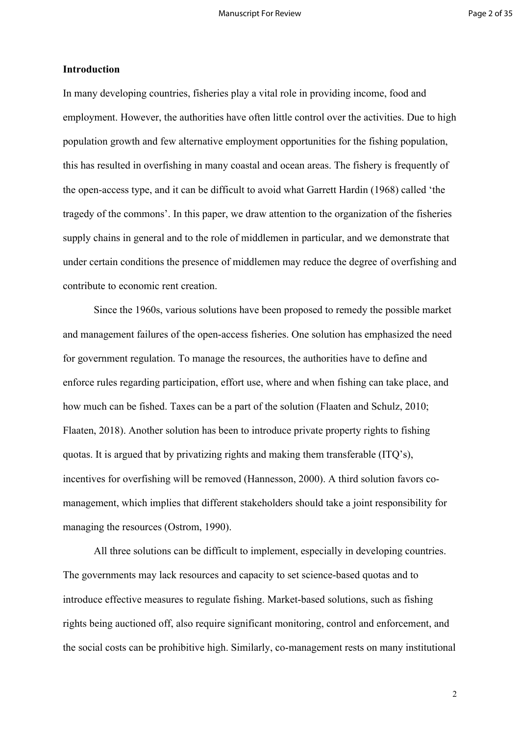### **Introduction**

In many developing countries, fisheries play a vital role in providing income, food and employment. However, the authorities have often little control over the activities. Due to high population growth and few alternative employment opportunities for the fishing population, this has resulted in overfishing in many coastal and ocean areas. The fishery is frequently of the open-access type, and it can be difficult to avoid what Garrett Hardin (1968) called 'the tragedy of the commons'. In this paper, we draw attention to the organization of the fisheries supply chains in general and to the role of middlemen in particular, and we demonstrate that under certain conditions the presence of middlemen may reduce the degree of overfishing and contribute to economic rent creation.

Since the 1960s, various solutions have been proposed to remedy the possible market and management failures of the open-access fisheries. One solution has emphasized the need for government regulation. To manage the resources, the authorities have to define and enforce rules regarding participation, effort use, where and when fishing can take place, and how much can be fished. Taxes can be a part of the solution (Flaaten and Schulz, 2010; Flaaten, 2018). Another solution has been to introduce private property rights to fishing quotas. It is argued that by privatizing rights and making them transferable (ITQ's), incentives for overfishing will be removed (Hannesson, 2000). A third solution favors comanagement, which implies that different stakeholders should take a joint responsibility for managing the resources (Ostrom, 1990).

All three solutions can be difficult to implement, especially in developing countries. The governments may lack resources and capacity to set science-based quotas and to introduce effective measures to regulate fishing. Market-based solutions, such as fishing rights being auctioned off, also require significant monitoring, control and enforcement, and the social costs can be prohibitive high. Similarly, co-management rests on many institutional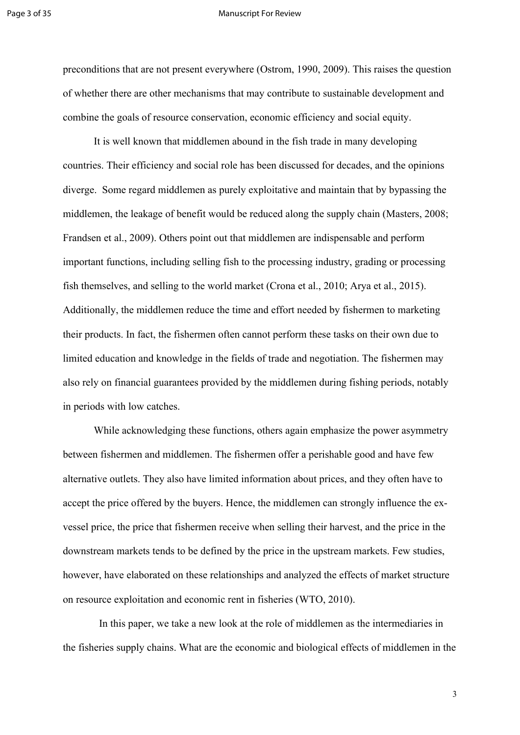#### Page 3 of 35 Manuscript For Review

preconditions that are not present everywhere (Ostrom, 1990, 2009). This raises the question of whether there are other mechanisms that may contribute to sustainable development and combine the goals of resource conservation, economic efficiency and social equity.

It is well known that middlemen abound in the fish trade in many developing countries. Their efficiency and social role has been discussed for decades, and the opinions diverge. Some regard middlemen as purely exploitative and maintain that by bypassing the middlemen, the leakage of benefit would be reduced along the supply chain (Masters, 2008; Frandsen et al., 2009). Others point out that middlemen are indispensable and perform important functions, including selling fish to the processing industry, grading or processing fish themselves, and selling to the world market (Crona et al., 2010; Arya et al., 2015). Additionally, the middlemen reduce the time and effort needed by fishermen to marketing their products. In fact, the fishermen often cannot perform these tasks on their own due to limited education and knowledge in the fields of trade and negotiation. The fishermen may also rely on financial guarantees provided by the middlemen during fishing periods, notably in periods with low catches.

While acknowledging these functions, others again emphasize the power asymmetry between fishermen and middlemen. The fishermen offer a perishable good and have few alternative outlets. They also have limited information about prices, and they often have to accept the price offered by the buyers. Hence, the middlemen can strongly influence the exvessel price, the price that fishermen receive when selling their harvest, and the price in the downstream markets tends to be defined by the price in the upstream markets. Few studies, however, have elaborated on these relationships and analyzed the effects of market structure on resource exploitation and economic rent in fisheries (WTO, 2010).

 In this paper, we take a new look at the role of middlemen as the intermediaries in the fisheries supply chains. What are the economic and biological effects of middlemen in the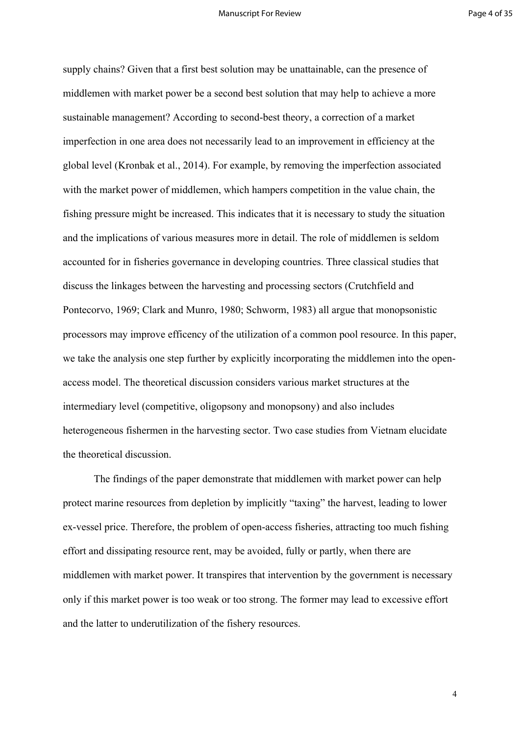supply chains? Given that a first best solution may be unattainable, can the presence of middlemen with market power be a second best solution that may help to achieve a more sustainable management? According to second-best theory, a correction of a market imperfection in one area does not necessarily lead to an improvement in efficiency at the global level (Kronbak et al., 2014). For example, by removing the imperfection associated with the market power of middlemen, which hampers competition in the value chain, the fishing pressure might be increased. This indicates that it is necessary to study the situation and the implications of various measures more in detail. The role of middlemen is seldom accounted for in fisheries governance in developing countries. Three classical studies that discuss the linkages between the harvesting and processing sectors (Crutchfield and Pontecorvo, 1969; Clark and Munro, 1980; Schworm, 1983) all argue that monopsonistic processors may improve efficency of the utilization of a common pool resource. In this paper, we take the analysis one step further by explicitly incorporating the middlemen into the openaccess model. The theoretical discussion considers various market structures at the intermediary level (competitive, oligopsony and monopsony) and also includes heterogeneous fishermen in the harvesting sector. Two case studies from Vietnam elucidate the theoretical discussion.

The findings of the paper demonstrate that middlemen with market power can help protect marine resources from depletion by implicitly "taxing" the harvest, leading to lower ex-vessel price. Therefore, the problem of open-access fisheries, attracting too much fishing effort and dissipating resource rent, may be avoided, fully or partly, when there are middlemen with market power. It transpires that intervention by the government is necessary only if this market power is too weak or too strong. The former may lead to excessive effort and the latter to underutilization of the fishery resources.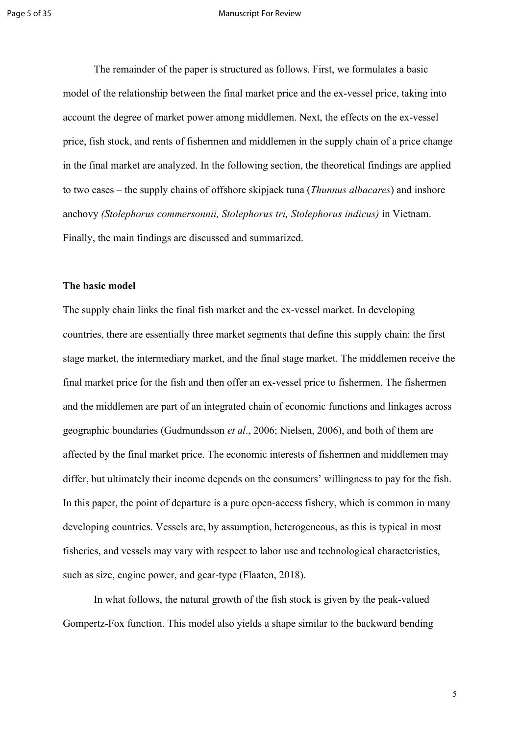#### Page 5 of 35 Manuscript For Review

The remainder of the paper is structured as follows. First, we formulates a basic model of the relationship between the final market price and the ex-vessel price, taking into account the degree of market power among middlemen. Next, the effects on the ex-vessel price, fish stock, and rents of fishermen and middlemen in the supply chain of a price change in the final market are analyzed. In the following section, the theoretical findings are applied to two cases – the supply chains of offshore skipjack tuna (*Thunnus albacares*) and inshore anchovy *(Stolephorus commersonnii, Stolephorus tri, Stolephorus indicus)* in Vietnam. Finally, the main findings are discussed and summarized.

### **The basic model**

The supply chain links the final fish market and the ex-vessel market. In developing countries, there are essentially three market segments that define this supply chain: the first stage market, the intermediary market, and the final stage market. The middlemen receive the final market price for the fish and then offer an ex-vessel price to fishermen. The fishermen and the middlemen are part of an integrated chain of economic functions and linkages across geographic boundaries (Gudmundsson *et al*., 2006; Nielsen, 2006), and both of them are affected by the final market price. The economic interests of fishermen and middlemen may differ, but ultimately their income depends on the consumers' willingness to pay for the fish. In this paper, the point of departure is a pure open-access fishery, which is common in many developing countries. Vessels are, by assumption, heterogeneous, as this is typical in most fisheries, and vessels may vary with respect to labor use and technological characteristics, such as size, engine power, and gear-type (Flaaten, 2018).

In what follows, the natural growth of the fish stock is given by the peak-valued Gompertz-Fox function. This model also yields a shape similar to the backward bending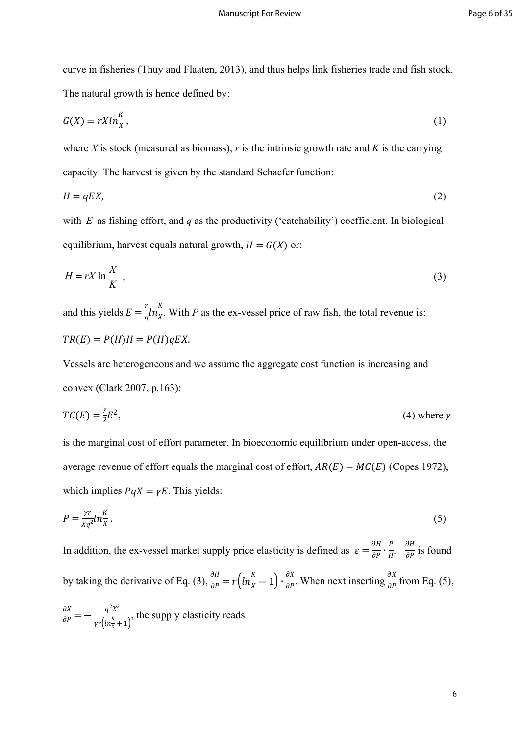curve in fisheries (Thuy and Flaaten, 2013), and thus helps link fisheries trade and fish stock. The natural growth is hence defined by:

$$
G(X) = rXln_{\overline{X}}^{K},\tag{1}
$$

where *X* is stock (measured as biomass), *r* is the intrinsic growth rate and *K* is the carrying capacity. The harvest is given by the standard Schaefer function:

$$
H = qEX,\tag{2}
$$

with  $E$  as fishing effort, and  $q$  as the productivity ('catchability') coefficient. In biological equilibrium, harvest equals natural growth,  $H = G(X)$  or:

$$
H = rX \ln \frac{X}{K} \tag{3}
$$

and this yields  $E = \frac{r}{a} ln \frac{K}{x}$ . With P as the ex-vessel price of raw fish, the total revenue is:  $\frac{r}{q} ln \frac{K}{X}$ .  $X^{\cdot}$  $TR(E) = P(H)H = P(H)qEX.$ 

Vessels are heterogeneous and we assume the aggregate cost function is increasing and convex (Clark 2007, p.163):

$$
TC(E) = \frac{\gamma}{2}E^2,
$$
 (4) where  $\gamma$ 

is the marginal cost of effort parameter. In bioeconomic equilibrium under open-access, the average revenue of effort equals the marginal cost of effort,  $AR(E) = MC(E)$  (Copes 1972), which implies  $PqX = \gamma E$ . This yields:

$$
P = \frac{\gamma r}{Xq^2} ln \frac{K}{X} \,. \tag{5}
$$

In addition, the ex-vessel market supply price elasticity is defined as  $\varepsilon = \frac{\partial H}{\partial P} \cdot \frac{P}{H} \cdot \frac{\partial H}{\partial P}$  is found  $H^{\cdot}$ ∂ ∂ by taking the derivative of Eq. (3),  $\frac{\partial H}{\partial P} = r \left( ln \frac{K}{X} - 1 \right) \cdot \frac{\partial X}{\partial P}$ . When next inserting  $\frac{\partial X}{\partial P}$  from Eq. (5),  $\partial P$ ∂ ∂

 $\frac{\partial X}{\partial P} = -\frac{q^2 X^2}{x\left(\ln \frac{R}{x} + 1\right)},$  the supply elasticity reads  $\gamma r\left(ln_{\overline{X}}^{K}+1\right)^{t}$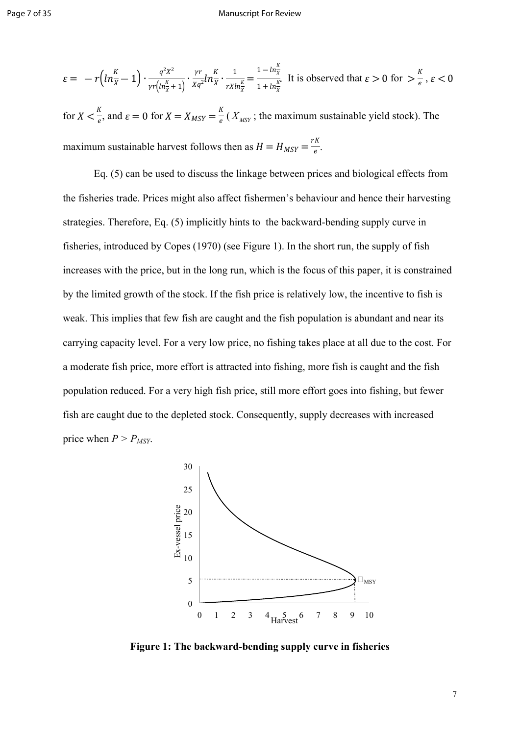$$
\varepsilon = -r\left(ln_{\overline{X}}^{K} - 1\right) \cdot \frac{q^{2}X^{2}}{\gamma r\left(ln_{\overline{X}}^{K} + 1\right)} \cdot \frac{\gamma r}{Xq^{2}} ln_{\overline{X}}^{K} \cdot \frac{1}{rX ln_{\overline{X}}^{K}} = \frac{1 - ln_{\overline{X}}^{K}}{1 + ln_{\overline{X}}^{K}} \text{ It is observed that } \varepsilon > 0 \text{ for } > \frac{K}{e}, \varepsilon < 0
$$

for  $X \leq \frac{K}{\epsilon}$ , and  $\varepsilon = 0$  for  $X = X_{MSY} = \frac{K}{\epsilon} (X_{MSY})$ ; the maximum sustainable yield stock). The  $\frac{K}{e}$ , and  $\varepsilon = 0$  for  $X = X_{MSY} = \frac{K}{e} (X_{MSY})$ ; the maximum sustainable yield stock). The maximum sustainable harvest follows then as  $H = H_{MSY} = \frac{rK}{e}$ . e

Eq. (5) can be used to discuss the linkage between prices and biological effects from the fisheries trade. Prices might also affect fishermen's behaviour and hence their harvesting strategies. Therefore, Eq. (5) implicitly hints to the backward-bending supply curve in fisheries, introduced by Copes (1970) (see Figure 1). In the short run, the supply of fish increases with the price, but in the long run, which is the focus of this paper, it is constrained by the limited growth of the stock. If the fish price is relatively low, the incentive to fish is weak. This implies that few fish are caught and the fish population is abundant and near its carrying capacity level. For a very low price, no fishing takes place at all due to the cost. For a moderate fish price, more effort is attracted into fishing, more fish is caught and the fish population reduced. For a very high fish price, still more effort goes into fishing, but fewer fish are caught due to the depleted stock. Consequently, supply decreases with increased price when  $P > P_{MSY}$ .



**Figure 1: The backward-bending supply curve in fisheries**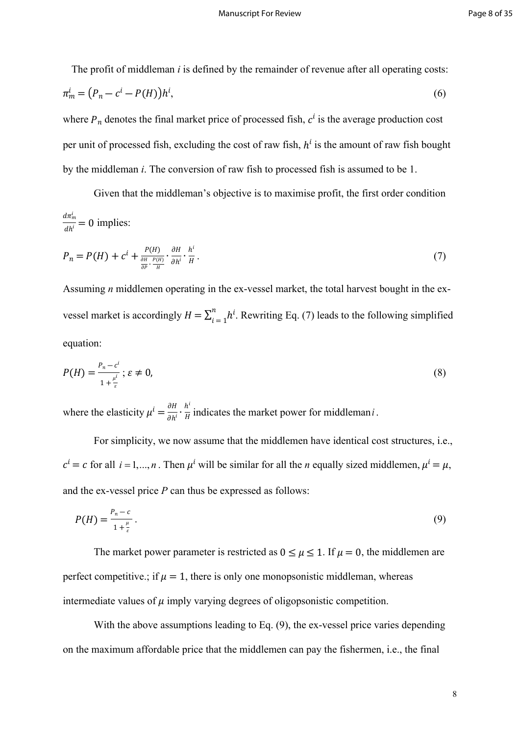The profit of middleman *i* is defined by the remainder of revenue after all operating costs:

$$
\pi_m^i = (P_n - c^i - P(H))h^i,\tag{6}
$$

where  $P_n$  denotes the final market price of processed fish,  $c^i$  is the average production cost per unit of processed fish, excluding the cost of raw fish,  $h^i$  is the amount of raw fish bought by the middleman *i*. The conversion of raw fish to processed fish is assumed to be 1.

Given that the middleman's objective is to maximise profit, the first order condition  $\frac{d\pi_m^i}{dt} = 0$  implies:  $\frac{a}{ah^i} = 0$ 

$$
P_n = P(H) + c^i + \frac{P(H)}{\frac{\partial H}{\partial P} \cdot \frac{P(H)}{H}} \cdot \frac{\partial H}{\partial h^i} \cdot \frac{h^i}{H} \,. \tag{7}
$$

Assuming *n* middlemen operating in the ex-vessel market, the total harvest bought in the exvessel market is accordingly  $H = \sum_{i=1}^{n} h^i$ . Rewriting Eq. (7) leads to the following simplified  $\sum_{i=1}^n h^i$ equation:

$$
P(H) = \frac{P_n - c^i}{1 + \frac{\mu^i}{\varepsilon}}; \varepsilon \neq 0,
$$
\n
$$
(8)
$$

where the elasticity  $\mu^i = \frac{\partial H}{\partial h^i} \cdot \frac{h^i}{H}$  indicates the market power for middleman *i*.  $\frac{\partial H}{\partial h^i} \cdot \frac{h^i}{H}$  $\frac{1}{H}$  indicates the market power for middleman *i*.

For simplicity, we now assume that the middlemen have identical cost structures, i.e.,  $c^i = c$  for all  $i = 1,...,n$ . Then  $\mu^i$  will be similar for all the *n* equally sized middlemen,  $\mu^i = \mu$ , and the ex-vessel price *P* can thus be expressed as follows:

$$
P(H) = \frac{P_n - c}{1 + \frac{\mu}{\varepsilon}}\,. \tag{9}
$$

The market power parameter is restricted as  $0 \le \mu \le 1$ . If  $\mu = 0$ , the middlemen are perfect competitive.; if  $\mu = 1$ , there is only one monopsonistic middleman, whereas intermediate values of  $\mu$  imply varying degrees of oligopsonistic competition.

With the above assumptions leading to Eq. (9), the ex-vessel price varies depending on the maximum affordable price that the middlemen can pay the fishermen, i.e., the final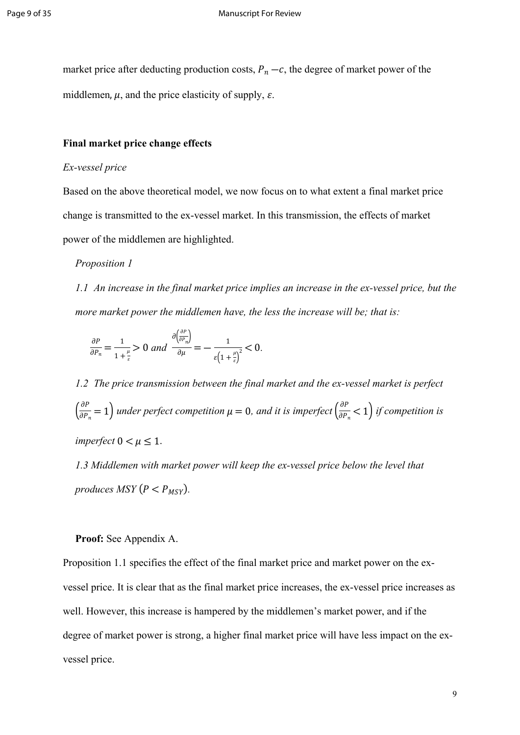market price after deducting production costs,  $P_n - c$ , the degree of market power of the middlemen,  $\mu$ , and the price elasticity of supply,  $\varepsilon$ .

### **Final market price change effects**

## *Ex-vessel price*

Based on the above theoretical model, we now focus on to what extent a final market price change is transmitted to the ex-vessel market. In this transmission, the effects of market power of the middlemen are highlighted.

#### *Proposition 1*

*1.1 An increase in the final market price implies an increase in the ex-vessel price, but the more market power the middlemen have, the less the increase will be; that is:*

$$
\frac{\partial P}{\partial P_n} = \frac{1}{1 + \frac{\mu}{\varepsilon}} > 0 \text{ and } \frac{\partial \left(\frac{\partial P}{\partial P_n}\right)}{\partial \mu} = -\frac{1}{\varepsilon \left(1 + \frac{\mu}{\varepsilon}\right)^2} < 0.
$$

∂

*1.2 The price transmission between the final market and the ex-vessel market is perfect*   $\left(\frac{\partial P}{\partial P_n} = 1\right)$  under perfect competition  $\mu = 0$ , and it is imperfect  $\left(\frac{\partial P}{\partial P_n} < 1\right)$  if competition is  $\frac{\partial P}{\partial P_n}$  = 1) under perfect competition  $\mu = 0$ , and it is imperfect  $\left(\frac{\partial P}{\partial P_n}\right)$  $\frac{\partial P_n}{\partial P_n}$  < 1) *imperfect*  $0 < \mu \leq 1$ .

*1.3 Middlemen with market power will keep the ex-vessel price below the level that produces MSY*  $(P < P_{MSY})$ .

### **Proof:** See Appendix A.

Proposition 1.1 specifies the effect of the final market price and market power on the exvessel price. It is clear that as the final market price increases, the ex-vessel price increases as well. However, this increase is hampered by the middlemen's market power, and if the degree of market power is strong, a higher final market price will have less impact on the exvessel price.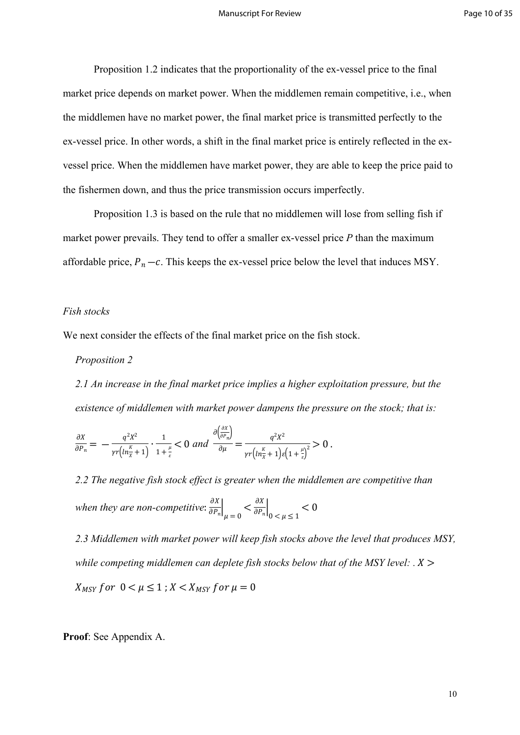Proposition 1.2 indicates that the proportionality of the ex-vessel price to the final market price depends on market power. When the middlemen remain competitive, i.e., when the middlemen have no market power, the final market price is transmitted perfectly to the ex-vessel price. In other words, a shift in the final market price is entirely reflected in the exvessel price. When the middlemen have market power, they are able to keep the price paid to the fishermen down, and thus the price transmission occurs imperfectly.

Proposition 1.3 is based on the rule that no middlemen will lose from selling fish if market power prevails. They tend to offer a smaller ex-vessel price *P* than the maximum affordable price,  $P_n - c$ . This keeps the ex-vessel price below the level that induces MSY.

### *Fish stocks*

We next consider the effects of the final market price on the fish stock.

### *Proposition 2*

*2.1 An increase in the final market price implies a higher exploitation pressure, but the existence of middlemen with market power dampens the pressure on the stock; that is:*

$$
\frac{\partial X}{\partial P_n} = -\frac{q^2 X^2}{\gamma r \left( \ln \frac{K}{X} + 1 \right)} \cdot \frac{1}{1 + \frac{\mu}{\varepsilon}} < 0 \text{ and } \frac{\partial \left( \frac{\partial X}{\partial P_n} \right)}{\partial \mu} = \frac{q^2 X^2}{\gamma r \left( \ln \frac{K}{X} + 1 \right) \varepsilon \left( 1 + \frac{\mu}{\varepsilon} \right)^2} > 0 \text{ .}
$$

*2.2 The negative fish stock effect is greater when the middlemen are competitive than*  when they are non-competitive:  $\frac{\partial X}{\partial P}$  $\left. \frac{\partial X}{\partial P_n} \right|_{\mu = 0} < \frac{\partial X}{\partial P_n}$  $\left. \frac{\partial n}{\partial P_n} \right|_{0 \le \mu \le 1} < 0$ 

*2.3 Middlemen with market power will keep fish stocks above the level that produces MSY, while competing middlemen can deplete fish stocks below that of the MSY level:*  $\cdot$   $\cdot$   $\cdot$   $\cdot$  $X_{MSV}$  for  $0 \lt \mu \leq 1$ ;  $X \lt X_{MSV}$  for  $\mu = 0$ 

**Proof**: See Appendix A.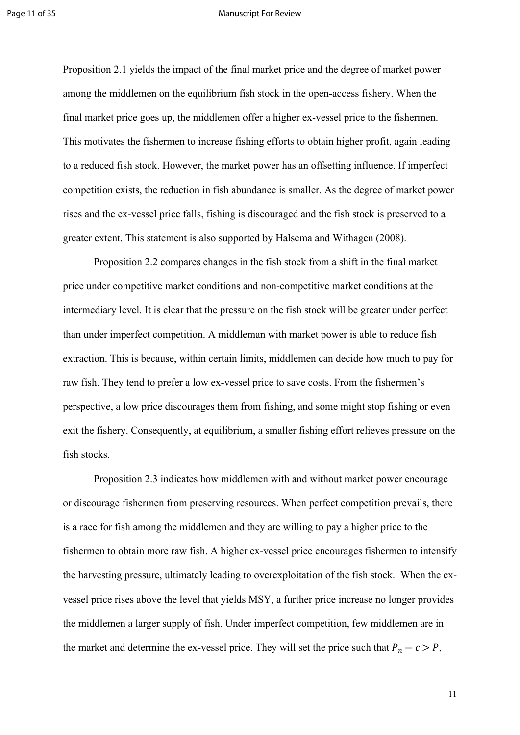#### Page 11 of 35 Manuscript For Review

Proposition 2.1 yields the impact of the final market price and the degree of market power among the middlemen on the equilibrium fish stock in the open-access fishery. When the final market price goes up, the middlemen offer a higher ex-vessel price to the fishermen. This motivates the fishermen to increase fishing efforts to obtain higher profit, again leading to a reduced fish stock. However, the market power has an offsetting influence. If imperfect competition exists, the reduction in fish abundance is smaller. As the degree of market power rises and the ex-vessel price falls, fishing is discouraged and the fish stock is preserved to a greater extent. This statement is also supported by Halsema and Withagen (2008).

Proposition 2.2 compares changes in the fish stock from a shift in the final market price under competitive market conditions and non-competitive market conditions at the intermediary level. It is clear that the pressure on the fish stock will be greater under perfect than under imperfect competition. A middleman with market power is able to reduce fish extraction. This is because, within certain limits, middlemen can decide how much to pay for raw fish. They tend to prefer a low ex-vessel price to save costs. From the fishermen's perspective, a low price discourages them from fishing, and some might stop fishing or even exit the fishery. Consequently, at equilibrium, a smaller fishing effort relieves pressure on the fish stocks.

Proposition 2.3 indicates how middlemen with and without market power encourage or discourage fishermen from preserving resources. When perfect competition prevails, there is a race for fish among the middlemen and they are willing to pay a higher price to the fishermen to obtain more raw fish. A higher ex-vessel price encourages fishermen to intensify the harvesting pressure, ultimately leading to overexploitation of the fish stock. When the exvessel price rises above the level that yields MSY, a further price increase no longer provides the middlemen a larger supply of fish. Under imperfect competition, few middlemen are in the market and determine the ex-vessel price. They will set the price such that  $P_n - c > P$ ,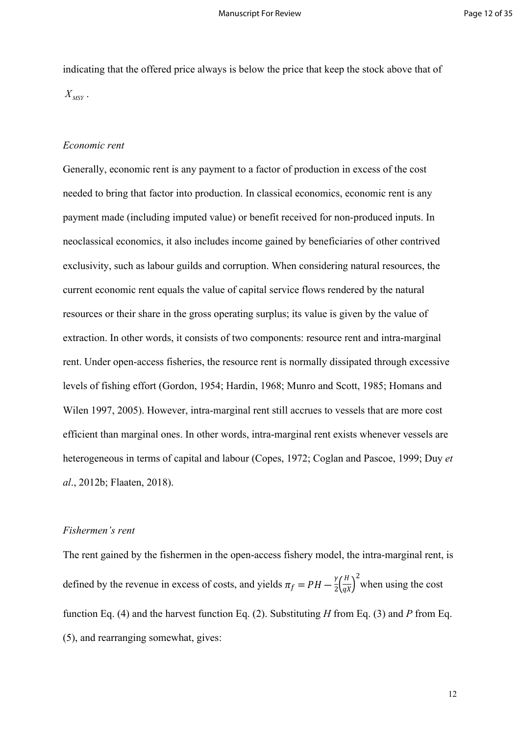indicating that the offered price always is below the price that keep the stock above that of  $X_{MSY}$  .

#### *Economic rent*

Generally, economic rent is any payment to a factor of production in excess of the cost needed to bring that factor into production. In classical economics, economic rent is any payment made (including imputed value) or benefit received for non-produced inputs. In neoclassical economics, it also includes income gained by beneficiaries of other contrived exclusivity, such as labour guilds and corruption. When considering natural resources, the current economic rent equals the value of capital service flows rendered by the natural resources or their share in the gross operating surplus; its value is given by the value of extraction. In other words, it consists of two components: resource rent and intra-marginal rent. Under open-access fisheries, the resource rent is normally dissipated through excessive levels of fishing effort (Gordon, 1954; Hardin, 1968; Munro and Scott, 1985; Homans and Wilen 1997, 2005). However, intra-marginal rent still accrues to vessels that are more cost efficient than marginal ones. In other words, intra-marginal rent exists whenever vessels are heterogeneous in terms of capital and labour (Copes, 1972; Coglan and Pascoe, 1999; Duy *et al*., 2012b; Flaaten, 2018).

### *Fishermen's rent*

The rent gained by the fishermen in the open-access fishery model, the intra-marginal rent, is defined by the revenue in excess of costs, and yields  $\pi_f = PH - \frac{\gamma}{2} \left( \frac{H}{\sigma X} \right)^2$  when using the cost  $\frac{\gamma}{2} \left( \frac{H}{qX} \right)$ 2 function Eq. (4) and the harvest function Eq. (2). Substituting *H* from Eq. (3) and *P* from Eq. (5), and rearranging somewhat, gives: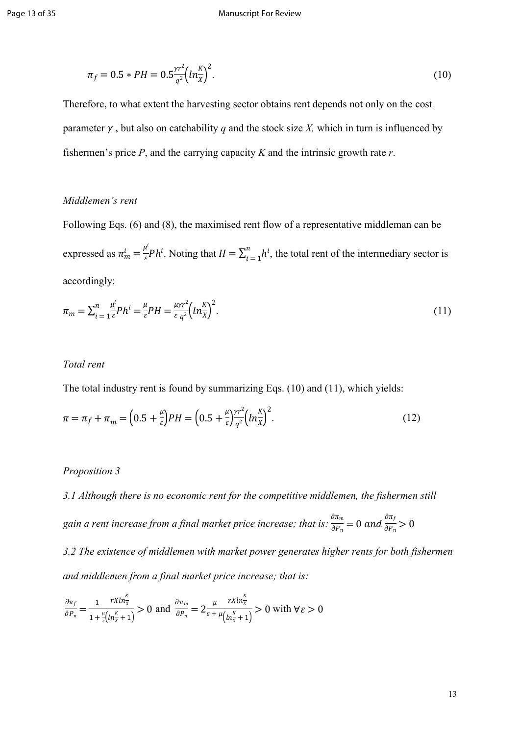$$
\pi_f = 0.5 * PH = 0.5 \frac{\gamma r^2}{q^2} \left( \ln \frac{K}{X} \right)^2. \tag{10}
$$

Therefore, to what extent the harvesting sector obtains rent depends not only on the cost parameter  $\gamma$ , but also on catchability q and the stock size X, which in turn is influenced by fishermen's price *P*, and the carrying capacity *K* and the intrinsic growth rate *r*.

## *Middlemen's rent*

Following Eqs. (6) and (8), the maximised rent flow of a representative middleman can be expressed as  $\pi_m^i = \frac{\mu^i}{\varepsilon} P h^i$ . Noting that  $H = \sum_{i=1}^n h^i$ , the total rent of the intermediary sector is  $\frac{u^i}{\varepsilon}Ph^i$ . Noting that  $H = \sum_{i=1}^n$  $\sum_{i=1}^n h^i$ accordingly:

$$
\pi_m = \sum_{i=1}^n \frac{\mu^i}{\varepsilon} P h^i = \frac{\mu}{\varepsilon} P H = \frac{\mu \nu r^2}{\varepsilon q^2} \left( \ln \frac{K}{X} \right)^2. \tag{11}
$$

#### *Total rent*

The total industry rent is found by summarizing Eqs. (10) and (11), which yields:

$$
\pi = \pi_f + \pi_m = \left(0.5 + \frac{\mu}{\varepsilon}\right)PH = \left(0.5 + \frac{\mu}{\varepsilon}\right)\frac{\gamma r^2}{q^2} \left(ln_{\overline{X}}^K\right)^2. \tag{12}
$$

#### *Proposition 3*

*3.1 Although there is no economic rent for the competitive middlemen, the fishermen still*  gain a rent increase from a final market price increase; that is:  $\frac{\partial \pi_m}{\partial P}$ :  $\frac{\partial \pi_m}{\partial P_n} = 0$  and  $\frac{\partial \pi_f}{\partial P_n}$  $\frac{1}{\partial P_n} > 0$ 

*3.2 The existence of middlemen with market power generates higher rents for both fishermen and middlemen from a final market price increase; that is:* 

$$
\frac{\partial \pi_f}{\partial P_n} = \frac{1}{1 + \frac{\mu}{\varepsilon} \left( \ln \frac{\kappa}{\chi} + 1 \right)} > 0 \text{ and } \frac{\partial \pi_m}{\partial P_n} = 2 \frac{\mu}{\varepsilon + \mu \left( \ln \frac{\kappa}{\chi} + 1 \right)} > 0 \text{ with } \forall \varepsilon > 0
$$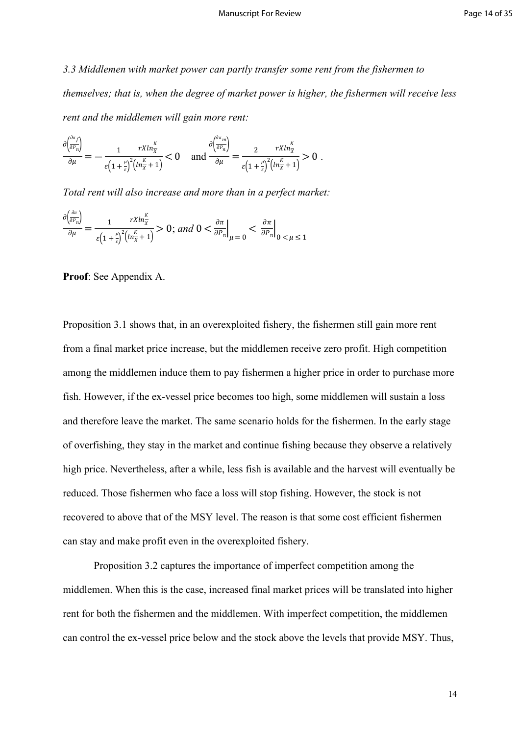*3.3 Middlemen with market power can partly transfer some rent from the fishermen to themselves; that is, when the degree of market power is higher, the fishermen will receive less rent and the middlemen will gain more rent:*

$$
\frac{\partial \left(\frac{\partial^{n} f}{\partial P_n}\right)}{\partial \mu} = -\frac{1}{\varepsilon \left(1 + \frac{\mu}{\varepsilon}\right)^2 \left(\ln \frac{K}{\chi} + 1\right)} < 0 \quad \text{and} \quad \frac{\partial \left(\frac{\partial^{n} f}{\partial P_n}\right)}{\partial \mu} = \frac{2}{\varepsilon \left(1 + \frac{\mu}{\varepsilon}\right)^2 \left(\ln \frac{K}{\chi} + 1\right)} > 0 \; .
$$

.a. ∴

*Total rent will also increase and more than in a perfect market:* 

$$
\frac{\partial \left(\frac{\partial n}{\partial P_n}\right)}{\partial \mu} = \frac{1}{\varepsilon \left(1 + \frac{\mu}{\varepsilon}\right)^2 \left(\ln \frac{\kappa}{\lambda} + 1\right)} > 0; \text{ and } 0 < \frac{\partial \pi}{\partial P_n}\Big|_{\mu = 0} < \frac{\partial \pi}{\partial P_n}\Big|_{0 < \mu \le 1}
$$

**Proof**: See Appendix A.

∂

∂

Proposition 3.1 shows that, in an overexploited fishery, the fishermen still gain more rent from a final market price increase, but the middlemen receive zero profit. High competition among the middlemen induce them to pay fishermen a higher price in order to purchase more fish. However, if the ex-vessel price becomes too high, some middlemen will sustain a loss and therefore leave the market. The same scenario holds for the fishermen. In the early stage of overfishing, they stay in the market and continue fishing because they observe a relatively high price. Nevertheless, after a while, less fish is available and the harvest will eventually be reduced. Those fishermen who face a loss will stop fishing. However, the stock is not recovered to above that of the MSY level. The reason is that some cost efficient fishermen can stay and make profit even in the overexploited fishery.

Proposition 3.2 captures the importance of imperfect competition among the middlemen. When this is the case, increased final market prices will be translated into higher rent for both the fishermen and the middlemen. With imperfect competition, the middlemen can control the ex-vessel price below and the stock above the levels that provide MSY. Thus,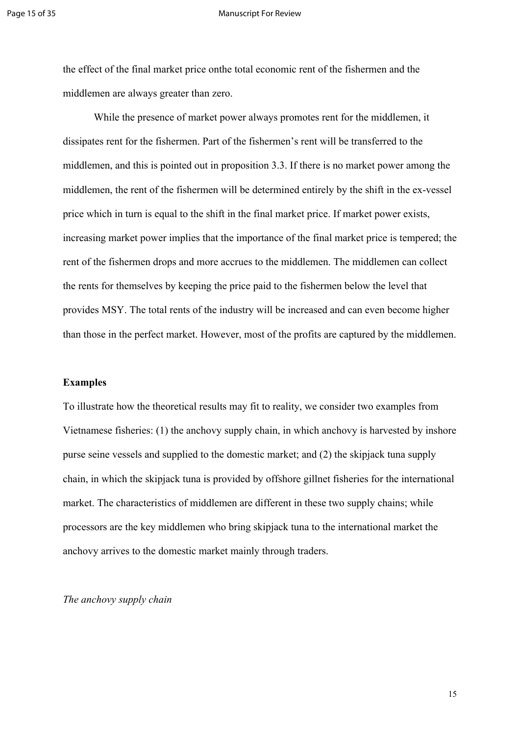#### Page 15 of 35 Manuscript For Review

the effect of the final market price onthe total economic rent of the fishermen and the middlemen are always greater than zero.

While the presence of market power always promotes rent for the middlemen, it dissipates rent for the fishermen. Part of the fishermen's rent will be transferred to the middlemen, and this is pointed out in proposition 3.3. If there is no market power among the middlemen, the rent of the fishermen will be determined entirely by the shift in the ex-vessel price which in turn is equal to the shift in the final market price. If market power exists, increasing market power implies that the importance of the final market price is tempered; the rent of the fishermen drops and more accrues to the middlemen. The middlemen can collect the rents for themselves by keeping the price paid to the fishermen below the level that provides MSY. The total rents of the industry will be increased and can even become higher than those in the perfect market. However, most of the profits are captured by the middlemen.

#### **Examples**

To illustrate how the theoretical results may fit to reality, we consider two examples from Vietnamese fisheries: (1) the anchovy supply chain, in which anchovy is harvested by inshore purse seine vessels and supplied to the domestic market; and (2) the skipjack tuna supply chain, in which the skipjack tuna is provided by offshore gillnet fisheries for the international market. The characteristics of middlemen are different in these two supply chains; while processors are the key middlemen who bring skipjack tuna to the international market the anchovy arrives to the domestic market mainly through traders.

*The anchovy supply chain*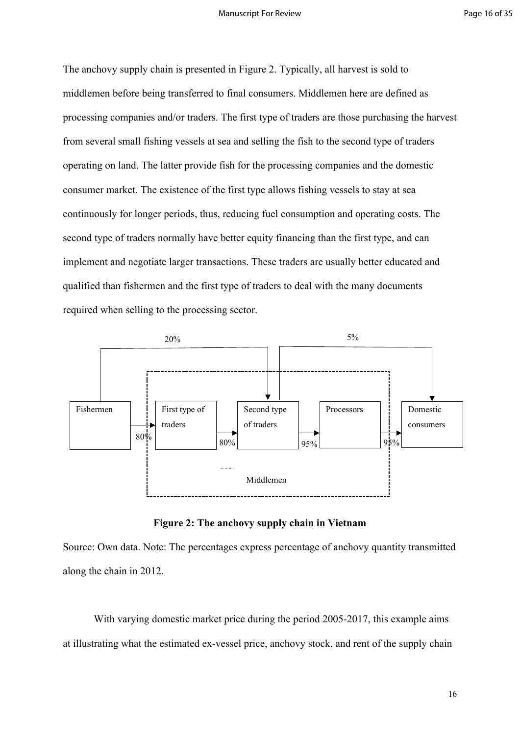The anchovy supply chain is presented in Figure 2. Typically, all harvest is sold to middlemen before being transferred to final consumers. Middlemen here are defined as processing companies and/or traders. The first type of traders are those purchasing the harvest from several small fishing vessels at sea and selling the fish to the second type of traders operating on land. The latter provide fish for the processing companies and the domestic consumer market. The existence of the first type allows fishing vessels to stay at sea continuously for longer periods, thus, reducing fuel consumption and operating costs. The second type of traders normally have better equity financing than the first type, and can implement and negotiate larger transactions. These traders are usually better educated and qualified than fishermen and the first type of traders to deal with the many documents required when selling to the processing sector.



**Figure 2: The anchovy supply chain in Vietnam**

Source: Own data. Note: The percentages express percentage of anchovy quantity transmitted along the chain in 2012.

With varying domestic market price during the period 2005-2017, this example aims at illustrating what the estimated ex-vessel price, anchovy stock, and rent of the supply chain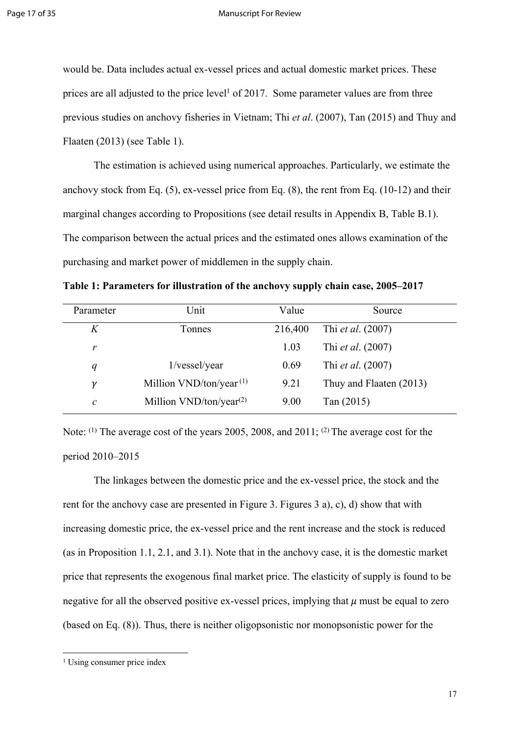would be. Data includes actual ex-vessel prices and actual domestic market prices. These prices are all adjusted to the price level<sup>1</sup> of 2017. Some parameter values are from three previous studies on anchovy fisheries in Vietnam; Thi *et al*. (2007), Tan (2015) and Thuy and Flaaten (2013) (see Table 1).

The estimation is achieved using numerical approaches. Particularly, we estimate the anchovy stock from Eq. (5), ex-vessel price from Eq. (8), the rent from Eq. (10-12) and their marginal changes according to Propositions (see detail results in Appendix B, Table B.1). The comparison between the actual prices and the estimated ones allows examination of the purchasing and market power of middlemen in the supply chain.

**Table 1: Parameters for illustration of the anchovy supply chain case, 2005–2017** 

| Parameter    | Unit                         | Value   | Source                   |
|--------------|------------------------------|---------|--------------------------|
| K            | Tonnes                       | 216,400 | Thi <i>et al.</i> (2007) |
| r            |                              | 1.03    | Thi <i>et al.</i> (2007) |
| q            | 1/vessel/year                | 0.69    | Thi <i>et al.</i> (2007) |
| ν            | Million $VND/ton/year^{(1)}$ | 9.21    | Thuy and Flaaten (2013)  |
| $\mathcal C$ | Million $VND/ton/year(2)$    | 9.00    | Tan $(2015)$             |

Note: (1) The average cost of the years 2005, 2008, and 2011; (2) The average cost for the period 2010–2015

The linkages between the domestic price and the ex-vessel price, the stock and the rent for the anchovy case are presented in Figure 3. Figures 3 a), c), d) show that with increasing domestic price, the ex-vessel price and the rent increase and the stock is reduced (as in Proposition 1.1, 2.1, and 3.1). Note that in the anchovy case, it is the domestic market price that represents the exogenous final market price. The elasticity of supply is found to be negative for all the observed positive ex-vessel prices, implying that  $\mu$  must be equal to zero (based on Eq. (8)). Thus, there is neither oligopsonistic nor monopsonistic power for the

<sup>&</sup>lt;sup>1</sup> Using consumer price index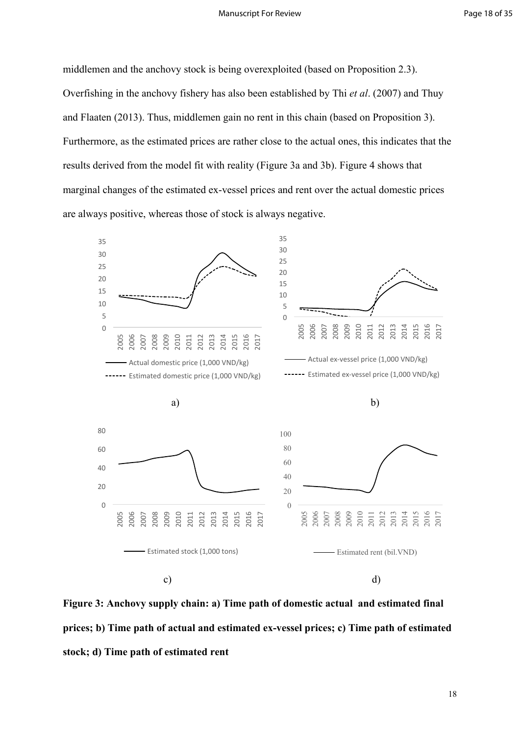middlemen and the anchovy stock is being overexploited (based on Proposition 2.3). Overfishing in the anchovy fishery has also been established by Thi *et al*. (2007) and Thuy and Flaaten (2013). Thus, middlemen gain no rent in this chain (based on Proposition 3). Furthermore, as the estimated prices are rather close to the actual ones, this indicates that the results derived from the model fit with reality (Figure 3a and 3b). Figure 4 shows that marginal changes of the estimated ex-vessel prices and rent over the actual domestic prices are always positive, whereas those of stock is always negative.



**Figure 3: Anchovy supply chain: a) Time path of domestic actual and estimated final prices; b) Time path of actual and estimated ex-vessel prices; c) Time path of estimated stock; d) Time path of estimated rent**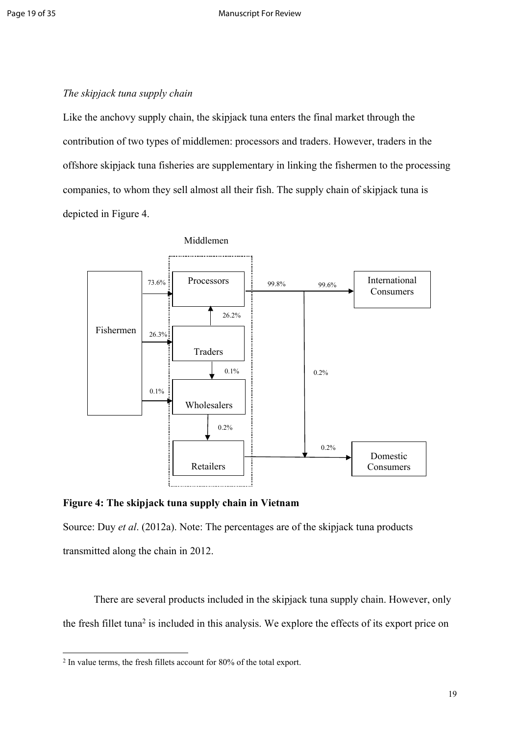### *The skipjack tuna supply chain*

Like the anchovy supply chain, the skipjack tuna enters the final market through the contribution of two types of middlemen: processors and traders. However, traders in the offshore skipjack tuna fisheries are supplementary in linking the fishermen to the processing companies, to whom they sell almost all their fish. The supply chain of skipjack tuna is depicted in Figure 4.



Middlemen

**Figure 4: The skipjack tuna supply chain in Vietnam**

Source: Duy *et al.* (2012a). Note: The percentages are of the skipjack tuna products transmitted along the chain in 2012.

There are several products included in the skipjack tuna supply chain. However, only the fresh fillet tuna<sup>2</sup> is included in this analysis. We explore the effects of its export price on

<sup>2</sup> In value terms, the fresh fillets account for 80% of the total export.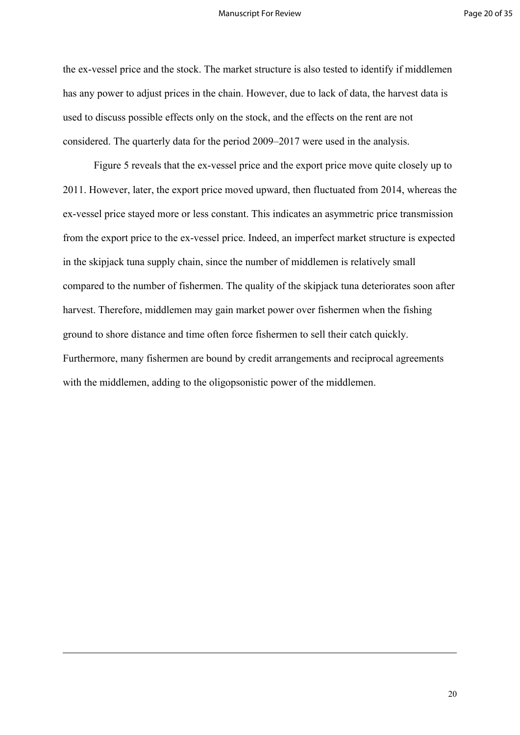the ex-vessel price and the stock. The market structure is also tested to identify if middlemen has any power to adjust prices in the chain. However, due to lack of data, the harvest data is used to discuss possible effects only on the stock, and the effects on the rent are not considered. The quarterly data for the period 2009–2017 were used in the analysis.

Figure 5 reveals that the ex-vessel price and the export price move quite closely up to 2011. However, later, the export price moved upward, then fluctuated from 2014, whereas the ex-vessel price stayed more or less constant. This indicates an asymmetric price transmission from the export price to the ex-vessel price. Indeed, an imperfect market structure is expected in the skipjack tuna supply chain, since the number of middlemen is relatively small compared to the number of fishermen. The quality of the skipjack tuna deteriorates soon after harvest. Therefore, middlemen may gain market power over fishermen when the fishing ground to shore distance and time often force fishermen to sell their catch quickly. Furthermore, many fishermen are bound by credit arrangements and reciprocal agreements with the middlemen, adding to the oligopsonistic power of the middlemen.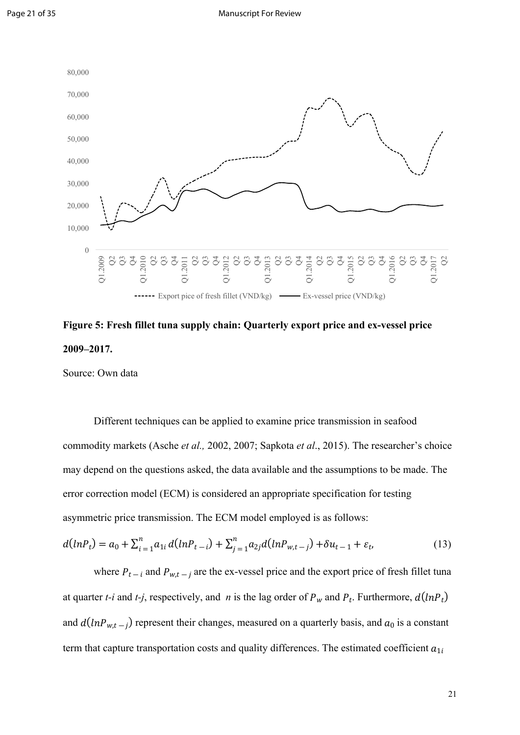

**Figure 5: Fresh fillet tuna supply chain: Quarterly export price and ex-vessel price 2009–2017.**

Source: Own data

Different techniques can be applied to examine price transmission in seafood commodity markets (Asche *et al.,* 2002, 2007; Sapkota *et al*., 2015). The researcher's choice may depend on the questions asked, the data available and the assumptions to be made. The error correction model (ECM) is considered an appropriate specification for testing asymmetric price transmission. The ECM model employed is as follows:

$$
d(lnP_t) = a_0 + \sum_{i=1}^{n} a_{1i} d(lnP_{t-i}) + \sum_{j=1}^{n} a_{2j} d(lnP_{w,t-j}) + \delta u_{t-1} + \varepsilon_t,
$$
\n(13)

where  $P_{t-i}$  and  $P_{w,t-j}$  are the ex-vessel price and the export price of fresh fillet tuna at quarter *t-i* and *t-j*, respectively, and *n* is the lag order of  $P_w$  and  $P_t$ . Furthermore,  $d(lnP_t)$ and  $d(lnP_{w,t-j})$  represent their changes, measured on a quarterly basis, and  $a_0$  is a constant term that capture transportation costs and quality differences. The estimated coefficient  $a_{1i}$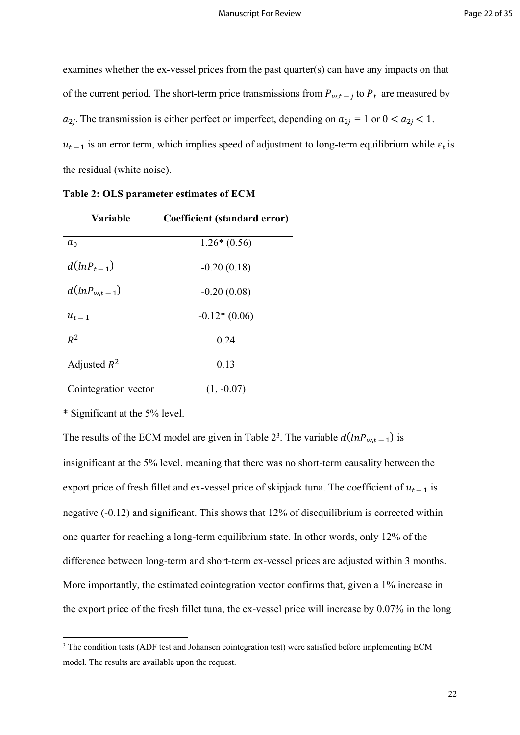examines whether the ex-vessel prices from the past quarter(s) can have any impacts on that of the current period. The short-term price transmissions from  $P_{w,t}$  to  $P_t$  are measured by  $a_{2i}$ . The transmission is either perfect or imperfect, depending on  $a_{2i} = 1$  or  $0 < a_{2i} < 1$ .  $u_{t-1}$  is an error term, which implies speed of adjustment to long-term equilibrium while  $\varepsilon_t$  is the residual (white noise).

| Variable             | Coefficient (standard error) |
|----------------------|------------------------------|
| $a_0$                | $1.26*(0.56)$                |
| $d(lnP_{t-1})$       | $-0.20(0.18)$                |
| $d(lnP_{w.t-1})$     | $-0.20(0.08)$                |
| $u_{t-1}$            | $-0.12*(0.06)$               |
| $R^2$                | 0.24                         |
| Adjusted $R^2$       | 0.13                         |
| Cointegration vector | $(1, -0.07)$                 |

| Table 2: OLS parameter estimates of ECM |  |  |  |
|-----------------------------------------|--|--|--|
|-----------------------------------------|--|--|--|

\* Significant at the 5% level.

The results of the ECM model are given in Table 2<sup>3</sup>. The variable  $d(lnP_{w,t-1})$  is insignificant at the 5% level, meaning that there was no short-term causality between the export price of fresh fillet and ex-vessel price of skipjack tuna. The coefficient of  $u_{t-1}$  is negative (-0.12) and significant. This shows that 12% of disequilibrium is corrected within one quarter for reaching a long-term equilibrium state. In other words, only 12% of the difference between long-term and short-term ex-vessel prices are adjusted within 3 months. More importantly, the estimated cointegration vector confirms that, given a 1% increase in the export price of the fresh fillet tuna, the ex-vessel price will increase by 0.07% in the long

<sup>&</sup>lt;sup>3</sup> The condition tests (ADF test and Johansen cointegration test) were satisfied before implementing ECM model. The results are available upon the request.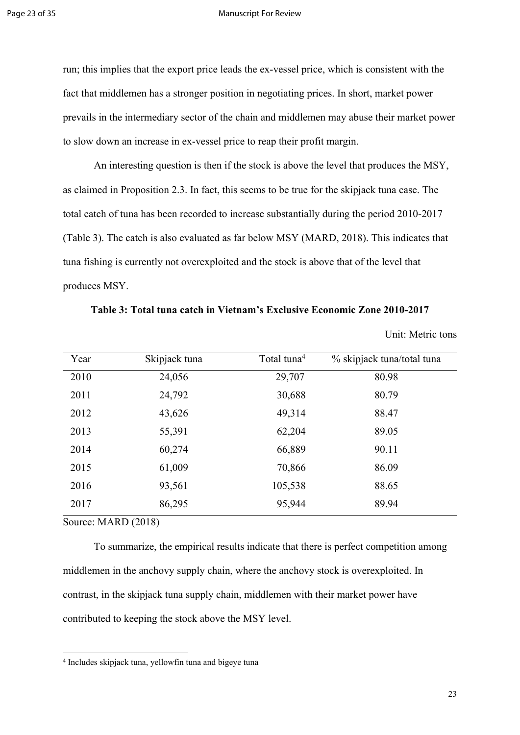#### Page 23 of 35 Manuscript For Review

run; this implies that the export price leads the ex-vessel price, which is consistent with the fact that middlemen has a stronger position in negotiating prices. In short, market power prevails in the intermediary sector of the chain and middlemen may abuse their market power to slow down an increase in ex-vessel price to reap their profit margin.

An interesting question is then if the stock is above the level that produces the MSY, as claimed in Proposition 2.3. In fact, this seems to be true for the skipjack tuna case. The total catch of tuna has been recorded to increase substantially during the period 2010-2017 (Table 3). The catch is also evaluated as far below MSY (MARD, 2018). This indicates that tuna fishing is currently not overexploited and the stock is above that of the level that produces MSY.

| Table 3: Total tuna catch in Vietnam's Exclusive Economic Zone 2010-2017 |  |
|--------------------------------------------------------------------------|--|
|--------------------------------------------------------------------------|--|

Unit: Metric tons

| Year | Skipjack tuna | Total tuna <sup>4</sup> | % skipjack tuna/total tuna |
|------|---------------|-------------------------|----------------------------|
| 2010 | 24,056        | 29,707                  | 80.98                      |
| 2011 | 24,792        | 30,688                  | 80.79                      |
| 2012 | 43,626        | 49,314                  | 88.47                      |
| 2013 | 55,391        | 62,204                  | 89.05                      |
| 2014 | 60,274        | 66,889                  | 90.11                      |
| 2015 | 61,009        | 70,866                  | 86.09                      |
| 2016 | 93,561        | 105,538                 | 88.65                      |
| 2017 | 86,295        | 95,944                  | 89.94                      |

Source: MARD (2018)

To summarize, the empirical results indicate that there is perfect competition among middlemen in the anchovy supply chain, where the anchovy stock is overexploited. In contrast, in the skipjack tuna supply chain, middlemen with their market power have contributed to keeping the stock above the MSY level.

<sup>4</sup> Includes skipjack tuna, yellowfin tuna and bigeye tuna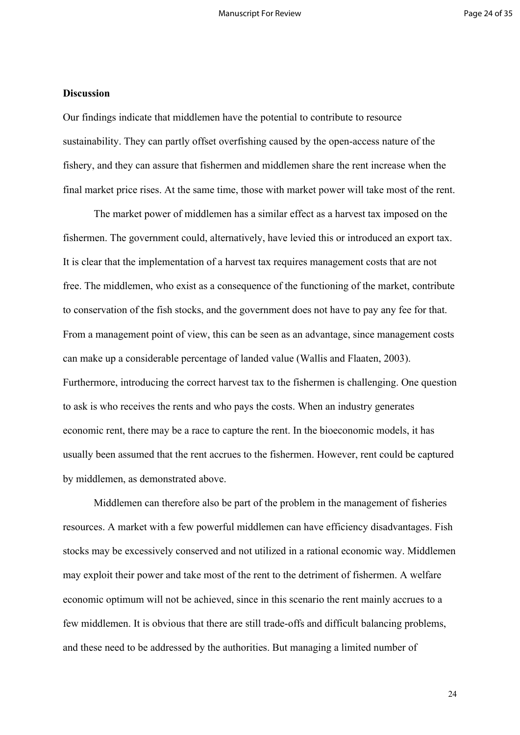### **Discussion**

Our findings indicate that middlemen have the potential to contribute to resource sustainability. They can partly offset overfishing caused by the open-access nature of the fishery, and they can assure that fishermen and middlemen share the rent increase when the final market price rises. At the same time, those with market power will take most of the rent.

The market power of middlemen has a similar effect as a harvest tax imposed on the fishermen. The government could, alternatively, have levied this or introduced an export tax. It is clear that the implementation of a harvest tax requires management costs that are not free. The middlemen, who exist as a consequence of the functioning of the market, contribute to conservation of the fish stocks, and the government does not have to pay any fee for that. From a management point of view, this can be seen as an advantage, since management costs can make up a considerable percentage of landed value (Wallis and Flaaten, 2003). Furthermore, introducing the correct harvest tax to the fishermen is challenging. One question to ask is who receives the rents and who pays the costs. When an industry generates economic rent, there may be a race to capture the rent. In the bioeconomic models, it has usually been assumed that the rent accrues to the fishermen. However, rent could be captured by middlemen, as demonstrated above.

Middlemen can therefore also be part of the problem in the management of fisheries resources. A market with a few powerful middlemen can have efficiency disadvantages. Fish stocks may be excessively conserved and not utilized in a rational economic way. Middlemen may exploit their power and take most of the rent to the detriment of fishermen. A welfare economic optimum will not be achieved, since in this scenario the rent mainly accrues to a few middlemen. It is obvious that there are still trade-offs and difficult balancing problems, and these need to be addressed by the authorities. But managing a limited number of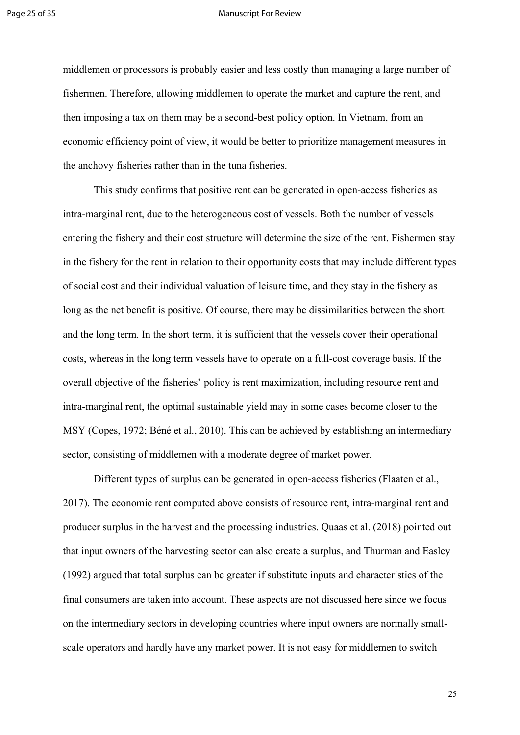#### Page 25 of 35 Manuscript For Review

middlemen or processors is probably easier and less costly than managing a large number of fishermen. Therefore, allowing middlemen to operate the market and capture the rent, and then imposing a tax on them may be a second-best policy option. In Vietnam, from an economic efficiency point of view, it would be better to prioritize management measures in the anchovy fisheries rather than in the tuna fisheries.

This study confirms that positive rent can be generated in open-access fisheries as intra-marginal rent, due to the heterogeneous cost of vessels. Both the number of vessels entering the fishery and their cost structure will determine the size of the rent. Fishermen stay in the fishery for the rent in relation to their opportunity costs that may include different types of social cost and their individual valuation of leisure time, and they stay in the fishery as long as the net benefit is positive. Of course, there may be dissimilarities between the short and the long term. In the short term, it is sufficient that the vessels cover their operational costs, whereas in the long term vessels have to operate on a full-cost coverage basis. If the overall objective of the fisheries' policy is rent maximization, including resource rent and intra-marginal rent, the optimal sustainable yield may in some cases become closer to the MSY (Copes, 1972; Béné et al., 2010). This can be achieved by establishing an intermediary sector, consisting of middlemen with a moderate degree of market power.

Different types of surplus can be generated in open-access fisheries (Flaaten et al., 2017). The economic rent computed above consists of resource rent, intra-marginal rent and producer surplus in the harvest and the processing industries. Quaas et al. (2018) pointed out that input owners of the harvesting sector can also create a surplus, and Thurman and Easley (1992) argued that total surplus can be greater if substitute inputs and characteristics of the final consumers are taken into account. These aspects are not discussed here since we focus on the intermediary sectors in developing countries where input owners are normally smallscale operators and hardly have any market power. It is not easy for middlemen to switch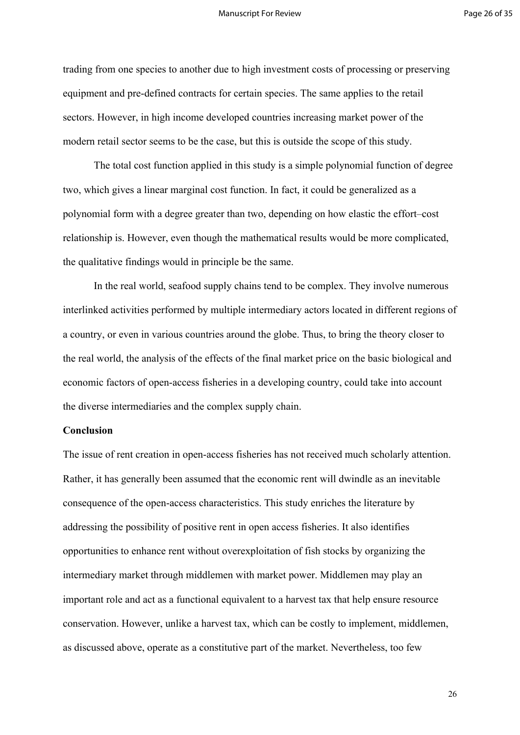trading from one species to another due to high investment costs of processing or preserving equipment and pre-defined contracts for certain species. The same applies to the retail sectors. However, in high income developed countries increasing market power of the modern retail sector seems to be the case, but this is outside the scope of this study.

The total cost function applied in this study is a simple polynomial function of degree two, which gives a linear marginal cost function. In fact, it could be generalized as a polynomial form with a degree greater than two, depending on how elastic the effort–cost relationship is. However, even though the mathematical results would be more complicated, the qualitative findings would in principle be the same.

In the real world, seafood supply chains tend to be complex. They involve numerous interlinked activities performed by multiple intermediary actors located in different regions of a country, or even in various countries around the globe. Thus, to bring the theory closer to the real world, the analysis of the effects of the final market price on the basic biological and economic factors of open-access fisheries in a developing country, could take into account the diverse intermediaries and the complex supply chain.

### **Conclusion**

The issue of rent creation in open-access fisheries has not received much scholarly attention. Rather, it has generally been assumed that the economic rent will dwindle as an inevitable consequence of the open-access characteristics. This study enriches the literature by addressing the possibility of positive rent in open access fisheries. It also identifies opportunities to enhance rent without overexploitation of fish stocks by organizing the intermediary market through middlemen with market power. Middlemen may play an important role and act as a functional equivalent to a harvest tax that help ensure resource conservation. However, unlike a harvest tax, which can be costly to implement, middlemen, as discussed above, operate as a constitutive part of the market. Nevertheless, too few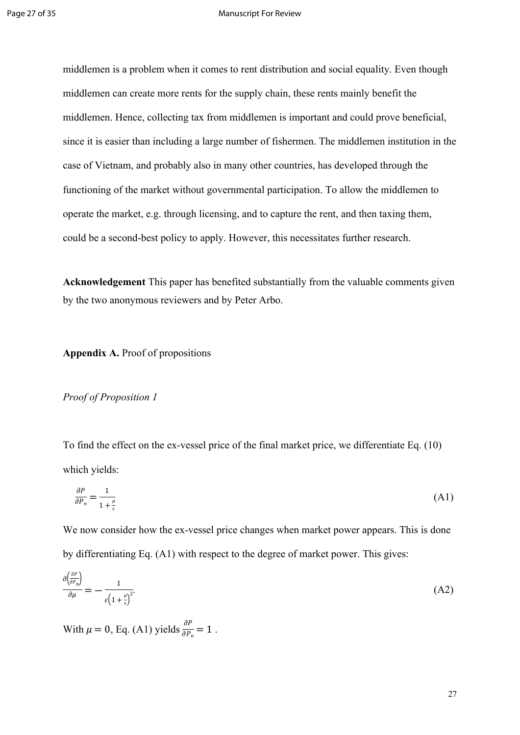middlemen is a problem when it comes to rent distribution and social equality. Even though middlemen can create more rents for the supply chain, these rents mainly benefit the middlemen. Hence, collecting tax from middlemen is important and could prove beneficial, since it is easier than including a large number of fishermen. The middlemen institution in the case of Vietnam, and probably also in many other countries, has developed through the functioning of the market without governmental participation. To allow the middlemen to operate the market, e.g. through licensing, and to capture the rent, and then taxing them, could be a second-best policy to apply. However, this necessitates further research.

**Acknowledgement** This paper has benefited substantially from the valuable comments given by the two anonymous reviewers and by Peter Arbo.

## **Appendix A.** Proof of propositions

### *Proof of Proposition 1*

To find the effect on the ex-vessel price of the final market price, we differentiate Eq. (10) which yields:

$$
\frac{\partial P}{\partial P_n} = \frac{1}{1 + \frac{\mu}{\varepsilon}}\tag{A1}
$$

We now consider how the ex-vessel price changes when market power appears. This is done by differentiating Eq. (A1) with respect to the degree of market power. This gives:

$$
\frac{\partial \left(\frac{\partial P}{\partial P_n}\right)}{\partial \mu} = -\frac{1}{\varepsilon \left(1 + \frac{\mu}{\varepsilon}\right)^2} \tag{A2}
$$

With  $\mu = 0$ , Eq. (A1) yields  $\frac{\partial P}{\partial p} = 1$ .  $\frac{\partial P_n}{\partial P_n} = 1$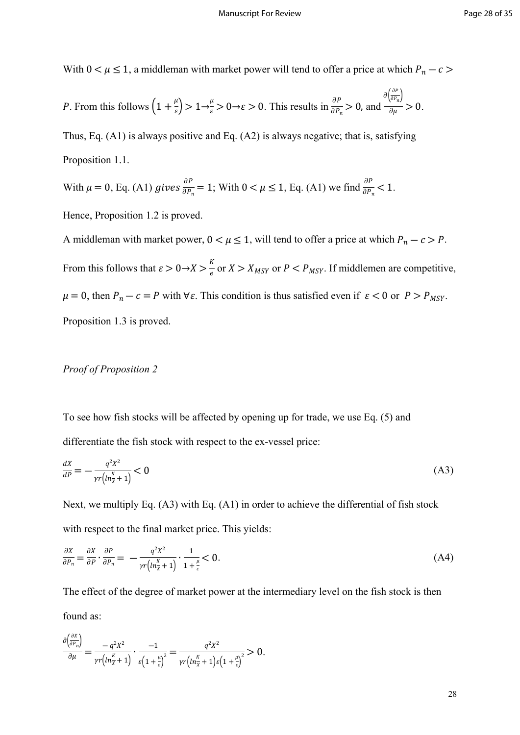With  $0 < \mu \leq 1$ , a middleman with market power will tend to offer a price at which  $P_n - c$ 

*P*. From this follows 
$$
\left(1 + \frac{\mu}{\varepsilon}\right) > 1 \to \frac{\mu}{\varepsilon} > 0 \to \varepsilon > 0
$$
. This results in  $\frac{\partial P}{\partial P_n} > 0$ , and  $\frac{\partial \left(\frac{\partial P}{\partial P_n}\right)}{\partial \mu} > 0$ .

Thus, Eq. (A1) is always positive and Eq. (A2) is always negative; that is, satisfying Proposition 1.1.

With 
$$
\mu = 0
$$
, Eq. (A1) gives  $\frac{\partial P}{\partial P_n} = 1$ ; With  $0 < \mu \le 1$ , Eq. (A1) we find  $\frac{\partial P}{\partial P_n} < 1$ .

Hence, Proposition 1.2 is proved.

A middleman with market power,  $0 < \mu \le 1$ , will tend to offer a price at which  $P_n - c > P$ . From this follows that  $\varepsilon > 0 \rightarrow X > \frac{K}{e}$  or  $X > X_{MSY}$  or  $P < P_{MSY}$ . If middlemen are competitive,  $\frac{1}{e}$  or  $X > X_{MSY}$  or  $P < P_{MSY}$ .  $\mu = 0$ , then  $P_n - c = P$  with  $\forall \varepsilon$ . This condition is thus satisfied even if  $\varepsilon < 0$  or  $P > P_{MSY}$ . Proposition 1.3 is proved.

# *Proof of Proposition 2*

To see how fish stocks will be affected by opening up for trade, we use Eq. (5) and differentiate the fish stock with respect to the ex-vessel price:

$$
\frac{dX}{dP} = -\frac{q^2X^2}{\gamma r\left(\ln\frac{K}{X} + 1\right)} < 0\tag{A3}
$$

Next, we multiply Eq. (A3) with Eq. (A1) in order to achieve the differential of fish stock with respect to the final market price. This yields:

$$
\frac{\partial X}{\partial P_n} = \frac{\partial X}{\partial P} \cdot \frac{\partial P}{\partial P_n} = -\frac{q^2 X^2}{\gamma r \left( \ln \frac{\kappa}{X} + 1 \right)} \cdot \frac{1}{1 + \frac{\mu}{\varepsilon}} < 0. \tag{A4}
$$

The effect of the degree of market power at the intermediary level on the fish stock is then found as:

$$
\frac{\partial \left(\frac{\partial X}{\partial P_n}\right)}{\partial \mu} = \frac{-q^2 X^2}{\gamma r \left(\ln \frac{K}{X} + 1\right)} \cdot \frac{-1}{\varepsilon \left(1 + \frac{\mu}{\varepsilon}\right)^2} = \frac{q^2 X^2}{\gamma r \left(\ln \frac{K}{X} + 1\right) \varepsilon \left(1 + \frac{\mu}{\varepsilon}\right)^2} > 0.
$$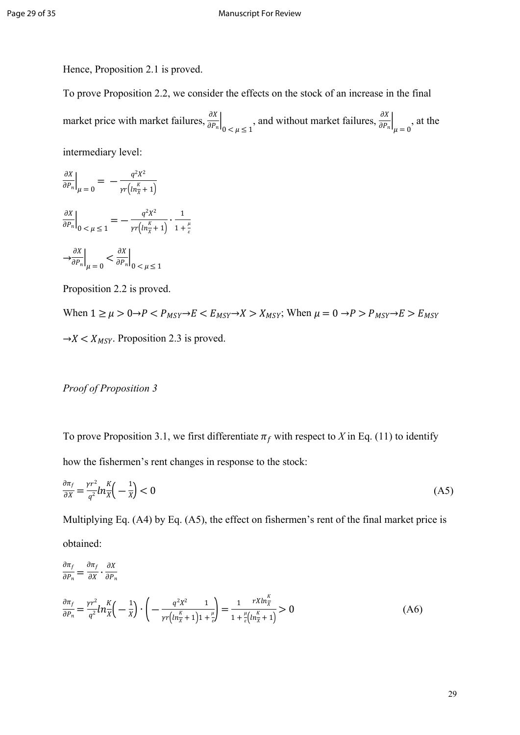Hence, Proposition 2.1 is proved.

To prove Proposition 2.2, we consider the effects on the stock of an increase in the final market price with market failures,  $\frac{\partial X}{\partial P}$ , and without market failures,  $\frac{\partial X}{\partial P}$ , at the  $\overline{\partial P_n}\bigg|_{0 \leq \mu \leq 1}$ ∂  $\overline{\partial P_n}\Big|_{\mu=0}$ intermediary level:

$$
\frac{\partial X}{\partial P_n}\Big|_{\mu=0} = -\frac{q^2 X^2}{\gamma r (n \frac{K}{X} + 1)}
$$

$$
\frac{\partial X}{\partial P_n}\Big|_{0 < \mu \le 1} = -\frac{q^2 X^2}{\gamma r (n \frac{K}{X} + 1)} \cdot \frac{1}{1 + \frac{\mu}{\varepsilon}}
$$

$$
\left. \frac{\partial X}{\partial P_n}\right|_{\mu=0} < \frac{\partial X}{\partial P_n}\Big|_{0 < \mu \le 1}
$$

ε

Proposition 2.2 is proved.

When  $1 \ge \mu > 0 \rightarrow P < P_{MSY} \rightarrow E < E_{MSY} \rightarrow X > X_{MSY}$ ; When  $\mu = 0 \rightarrow P > P_{MSY} \rightarrow E > E_{MSY}$  $\rightarrow$  X <  $X_{MSY}$ . Proposition 2.3 is proved.

# *Proof of Proposition 3*

To prove Proposition 3.1, we first differentiate  $\pi_f$  with respect to *X* in Eq. (11) to identify how the fishermen's rent changes in response to the stock:

$$
\frac{\partial \pi_f}{\partial x} = \frac{\gamma r^2}{q^2} ln \frac{K}{X} \left( -\frac{1}{X} \right) < 0 \tag{A5}
$$

Multiplying Eq. (A4) by Eq. (A5), the effect on fishermen's rent of the final market price is obtained:

$$
\frac{\partial \pi_f}{\partial P_n} = \frac{\partial \pi_f}{\partial X} \cdot \frac{\partial X}{\partial P_n}
$$
\n
$$
\frac{\partial \pi_f}{\partial P_n} = \frac{\gamma r^2}{q^2} ln_X^K \left( -\frac{1}{X} \right) \cdot \left( -\frac{q^2 X^2}{\gamma r \left( n \frac{K}{X} + 1 \right) 1 + \frac{\mu}{\varepsilon}} \right) = \frac{1}{1 + \frac{\mu}{\varepsilon} \left( n \frac{K}{X} + 1 \right)} > 0
$$
\n(A6)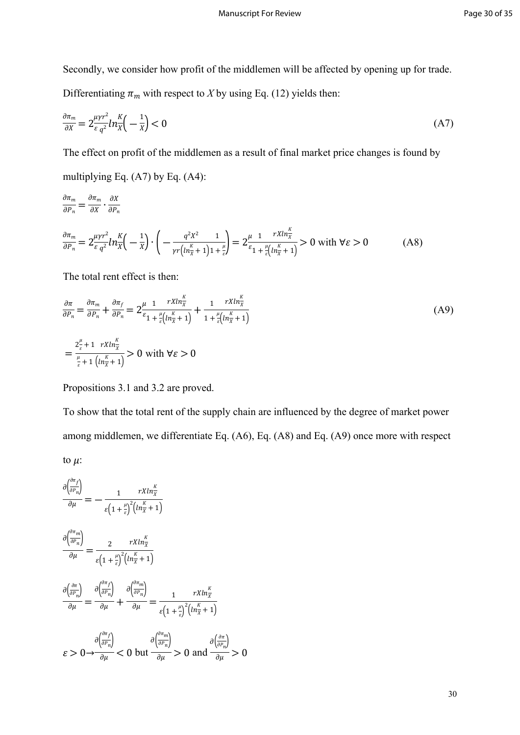Secondly, we consider how profit of the middlemen will be affected by opening up for trade. Differentiating  $\pi_m$  with respect to *X* by using Eq. (12) yields then:

$$
\frac{\partial \pi_m}{\partial X} = 2 \frac{\mu \gamma r^2}{\varepsilon q^2} ln \frac{K}{X} \left( -\frac{1}{X} \right) < 0 \tag{A7}
$$

The effect on profit of the middlemen as a result of final market price changes is found by

multiplying Eq. (A7) by Eq. (A4):

$$
\frac{\partial \pi_m}{\partial P_n} = \frac{\partial \pi_m}{\partial X} \cdot \frac{\partial X}{\partial P_n}
$$
\n
$$
\frac{\partial \pi_m}{\partial P_n} = 2 \frac{\mu \gamma r^2}{\varepsilon q^2} ln_X^K \left( -\frac{1}{X} \right) \cdot \left( -\frac{q^2 X^2}{\gamma r \left( \ln_X^K + 1 \right) 1 + \frac{\mu}{\varepsilon} \right)} = 2 \frac{\mu}{\varepsilon} \frac{1}{1 + \frac{\mu}{\varepsilon} \left( \ln_X^K + 1 \right)} > 0 \text{ with } \forall \varepsilon > 0 \tag{A8}
$$

The total rent effect is then:

$$
\frac{\partial \pi}{\partial P_n} = \frac{\partial \pi_m}{\partial P_n} + \frac{\partial \pi_f}{\partial P_n} = 2 \frac{\mu}{\varepsilon_1 + \frac{\mu}{\varepsilon} \left( \ln \frac{\kappa}{\chi} + 1 \right)} + \frac{1}{1 + \frac{\mu}{\varepsilon} \left( \ln \frac{\kappa}{\chi} + 1 \right)}
$$
\n
$$
= \frac{2 \frac{\mu}{\varepsilon} + 1 \ rX \ln \frac{\kappa}{\chi}}{\frac{\mu}{\varepsilon} + 1 \left( \ln \frac{\kappa}{\chi} + 1 \right)} > 0 \text{ with } \forall \varepsilon > 0
$$
\n(A9)

Propositions 3.1 and 3.2 are proved.

To show that the total rent of the supply chain are influenced by the degree of market power among middlemen, we differentiate Eq. (A6), Eq. (A8) and Eq. (A9) once more with respect to  $\mu$ :

$$
\frac{\partial \left(\frac{\partial n_f}{\partial P_n}\right)}{\partial \mu} = -\frac{1}{\varepsilon \left(1 + \frac{\mu}{\varepsilon}\right)^2 \left(ln_{\overline{x}}^K + 1\right)}
$$
\n
$$
\frac{\partial \left(\frac{\partial n_m}{\partial P_n}\right)}{\partial \mu} = \frac{2}{\varepsilon \left(1 + \frac{\mu}{\varepsilon}\right)^2 \left(ln_{\overline{x}}^K + 1\right)}
$$
\n
$$
\frac{\partial \left(\frac{\partial n}{\partial P_n}\right)}{\partial \mu} = \frac{\partial \left(\frac{\partial n_f}{\partial P_n}\right)}{\partial \mu} + \frac{\partial \left(\frac{\partial n_m}{\partial P_n}\right)}{\partial \mu} = \frac{1}{\varepsilon \left(1 + \frac{\mu}{\varepsilon}\right)^2 \left(ln_{\overline{x}}^K + 1\right)}
$$
\n
$$
\varepsilon > 0 \rightarrow \frac{\partial \left(\frac{\partial n_f}{\partial P_n}\right)}{\partial \mu} < 0 \text{ but } \frac{\partial \left(\frac{\partial n_m}{\partial P_n}\right)}{\partial \mu} > 0 \text{ and } \frac{\partial \left(\frac{\partial n}{\partial P_n}\right)}{\partial \mu} > 0
$$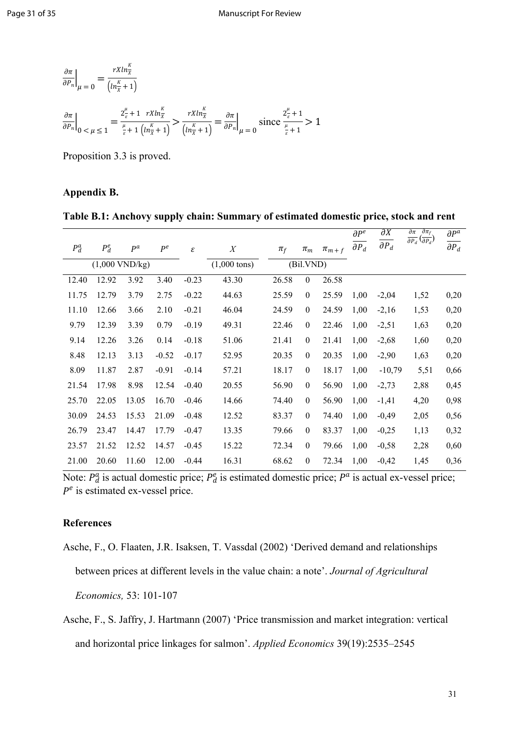$$
\frac{\partial \pi}{\partial P_n}\Big|_{\mu=0} = \frac{rXln_{\overline{X}}^{\kappa}}{\left(ln_{\overline{X}}^{\kappa}+1\right)}
$$
\n
$$
\frac{\partial \pi}{\partial P_n}\Big|_{0 \le \mu \le 1} = \frac{2\frac{\mu}{\varepsilon} + 1 \ rXln_{\overline{X}}^{\kappa}}{\frac{\mu}{\varepsilon} + 1 \left(ln_{\overline{X}}^{\kappa}+1\right)} > \frac{rXln_{\overline{X}}^{\kappa}}{\left(ln_{\overline{X}}^{\kappa}+1\right)} = \frac{\partial \pi}{\partial P_n}\Big|_{\mu=0} \text{ since } \frac{2\frac{\mu}{\varepsilon}+1}{\frac{\mu}{\varepsilon}+1} > 1
$$

Proposition 3.3 is proved.

## **Appendix B.**

| Table B.1: Anchovy supply chain: Summary of estimated domestic price, stock and rent |  |  |  |  |  |  |  |  |  |  |  |  |  |  |  |  |  |  |  |  |  |  |  |  |  |  |  |  |  |  |  |
|--------------------------------------------------------------------------------------|--|--|--|--|--|--|--|--|--|--|--|--|--|--|--|--|--|--|--|--|--|--|--|--|--|--|--|--|--|--|--|
|--------------------------------------------------------------------------------------|--|--|--|--|--|--|--|--|--|--|--|--|--|--|--|--|--|--|--|--|--|--|--|--|--|--|--|--|--|--|--|

|         |                          |       |         |         |                        |         |                  |             | $\partial P^e$<br>$\partial P_d$ | $\overline{\partial X}$<br>$\partial P_d$ | $\partial \pi_f$<br>$\partial \pi$<br>$\overline{\partial P_d}(\overline{\partial P_d})$ | $\partial P^a$<br>$\overline{\partial P_d}$ |
|---------|--------------------------|-------|---------|---------|------------------------|---------|------------------|-------------|----------------------------------|-------------------------------------------|------------------------------------------------------------------------------------------|---------------------------------------------|
| $P_d^a$ | $P_d^e$                  | $P^a$ | $P^e$   | ε       | $\boldsymbol{X}$       | $\pi_f$ | $\pi_m$          | $\pi_{m+f}$ |                                  |                                           |                                                                                          |                                             |
|         | $(1,000 \text{ VND/kg})$ |       |         |         | $(1,000 \text{ tons})$ |         | (Bil.VND)        |             |                                  |                                           |                                                                                          |                                             |
| 12.40   | 12.92                    | 3.92  | 3.40    | $-0.23$ | 43.30                  | 26.58   | $\boldsymbol{0}$ | 26.58       |                                  |                                           |                                                                                          |                                             |
| 11.75   | 12.79                    | 3.79  | 2.75    | $-0.22$ | 44.63                  | 25.59   | $\boldsymbol{0}$ | 25.59       | 1,00                             | $-2,04$                                   | 1,52                                                                                     | 0,20                                        |
| 11.10   | 12.66                    | 3.66  | 2.10    | $-0.21$ | 46.04                  | 24.59   | $\boldsymbol{0}$ | 24.59       | 1,00                             | $-2,16$                                   | 1,53                                                                                     | 0,20                                        |
| 9.79    | 12.39                    | 3.39  | 0.79    | $-0.19$ | 49.31                  | 22.46   | $\mathbf{0}$     | 22.46       | 1,00                             | $-2,51$                                   | 1,63                                                                                     | 0,20                                        |
| 9.14    | 12.26                    | 3.26  | 0.14    | $-0.18$ | 51.06                  | 21.41   | $\boldsymbol{0}$ | 21.41       | 1,00                             | $-2,68$                                   | 1,60                                                                                     | 0,20                                        |
| 8.48    | 12.13                    | 3.13  | $-0.52$ | $-0.17$ | 52.95                  | 20.35   | $\mathbf{0}$     | 20.35       | 1,00                             | $-2,90$                                   | 1,63                                                                                     | 0,20                                        |
| 8.09    | 11.87                    | 2.87  | $-0.91$ | $-0.14$ | 57.21                  | 18.17   | $\mathbf{0}$     | 18.17       | 1,00                             | $-10,79$                                  | 5,51                                                                                     | 0,66                                        |
| 21.54   | 17.98                    | 8.98  | 12.54   | $-0.40$ | 20.55                  | 56.90   | $\boldsymbol{0}$ | 56.90       | 1,00                             | $-2,73$                                   | 2,88                                                                                     | 0,45                                        |
| 25.70   | 22.05                    | 13.05 | 16.70   | $-0.46$ | 14.66                  | 74.40   | $\mathbf{0}$     | 56.90       | 1,00                             | $-1,41$                                   | 4,20                                                                                     | 0,98                                        |
| 30.09   | 24.53                    | 15.53 | 21.09   | $-0.48$ | 12.52                  | 83.37   | $\mathbf{0}$     | 74.40       | 1,00                             | $-0,49$                                   | 2,05                                                                                     | 0,56                                        |
| 26.79   | 23.47                    | 14.47 | 17.79   | $-0.47$ | 13.35                  | 79.66   | $\boldsymbol{0}$ | 83.37       | 1,00                             | $-0,25$                                   | 1,13                                                                                     | 0,32                                        |
| 23.57   | 21.52                    | 12.52 | 14.57   | $-0.45$ | 15.22                  | 72.34   | $\mathbf{0}$     | 79.66       | 1,00                             | $-0,58$                                   | 2,28                                                                                     | 0,60                                        |
| 21.00   | 20.60                    | 11.60 | 12.00   | $-0.44$ | 16.31                  | 68.62   | $\boldsymbol{0}$ | 72.34       | 1,00                             | $-0,42$                                   | 1,45                                                                                     | 0,36                                        |

Note:  $P_d^a$  is actual domestic price;  $P_d^e$  is estimated domestic price;  $P^a$  is actual ex-vessel price;  $P<sup>e</sup>$  is estimated ex-vessel price.

# **References**

Asche, F., O. Flaaten, J.R. Isaksen, T. Vassdal (2002) 'Derived demand and relationships

between prices at different levels in the value chain: a note'. *Journal of Agricultural* 

*Economics,* 53: 101-107

Asche, F., S. Jaffry, J. Hartmann (2007) 'Price transmission and market integration: vertical and horizontal price linkages for salmon'. *Applied Economics* 39(19):2535–2545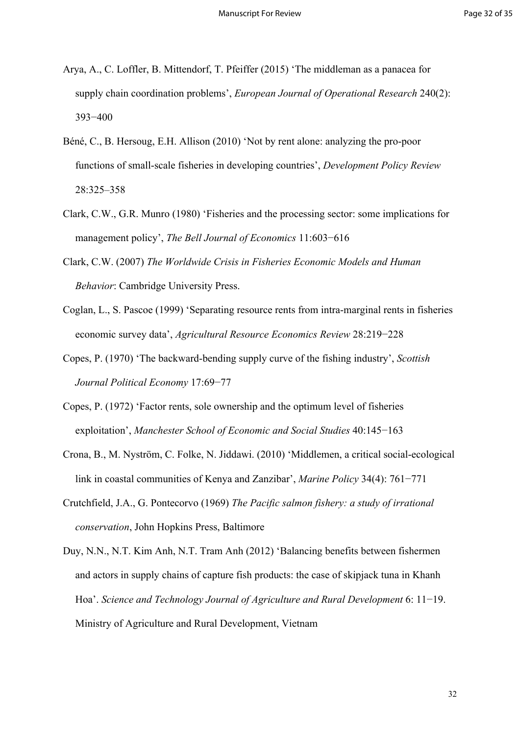- Arya, A., C. Loffler, B. Mittendorf, T. Pfeiffer (2015) 'The middleman as a panacea for supply chain coordination problems', *European Journal of Operational Research* 240(2): 393−400
- Béné, C., B. Hersoug, E.H. Allison (2010) 'Not by rent alone: analyzing the pro-poor functions of small-scale fisheries in developing countries', *Development Policy Review* 28:325–358
- Clark, C.W., G.R. Munro (1980) 'Fisheries and the processing sector: some implications for management policy', *The Bell Journal of Economics* 11:603−616
- Clark, C.W. (2007) *The Worldwide Crisis in Fisheries Economic Models and Human Behavior*: Cambridge University Press.
- Coglan, L., S. Pascoe (1999) 'Separating resource rents from intra-marginal rents in fisheries economic survey data', *Agricultural Resource Economics Review* 28:219−228
- Copes, P. (1970) 'The backward-bending supply curve of the fishing industry', *Scottish Journal Political Economy* 17:69−77
- Copes, P. (1972) 'Factor rents, sole ownership and the optimum level of fisheries exploitation', *Manchester School of Economic and Social Studies* 40:145−163
- Crona, B., M. Nyström, C. Folke, N. Jiddawi. (2010) 'Middlemen, a critical social-ecological link in coastal communities of Kenya and Zanzibar', *Marine Policy* 34(4): 761−771
- Crutchfield, J.A., G. Pontecorvo (1969) *The Pacific salmon fishery: a study of irrational conservation*, John Hopkins Press, Baltimore
- Duy, N.N., N.T. Kim Anh, N.T. Tram Anh (2012) 'Balancing benefits between fishermen and actors in supply chains of capture fish products: the case of skipjack tuna in Khanh Hoa'. *Science and Technology Journal of Agriculture and Rural Development* 6: 11−19. Ministry of Agriculture and Rural Development, Vietnam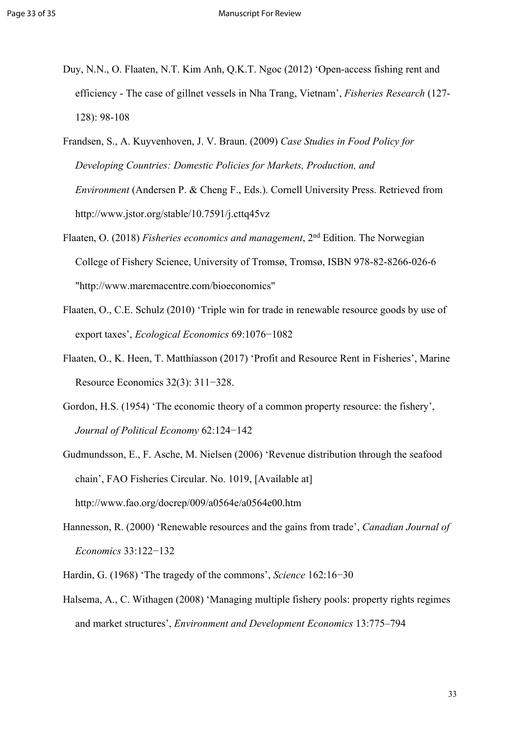- Duy, N.N., O. Flaaten, N.T. Kim Anh, Q.K.T. Ngoc (2012) 'Open-access fishing rent and efficiency - The case of gillnet vessels in Nha Trang, Vietnam', *Fisheries Research* (127- 128): 98-108
- Frandsen, S., A. Kuyvenhoven, J. V. Braun. (2009) *Case Studies in Food Policy for Developing Countries: Domestic Policies for Markets, Production, and Environment* (Andersen P. & Cheng F., Eds.). Cornell University Press. Retrieved from http://www.jstor.org/stable/10.7591/j.cttq45vz
- Flaaten, O. (2018) *Fisheries economics and management*, 2nd Edition. The Norwegian College of Fishery Science, University of Tromsø, Tromsø, ISBN 978-82-8266-026-6 "http://www.maremacentre.com/bioeconomics"
- Flaaten, O., C.E. Schulz (2010) 'Triple win for trade in renewable resource goods by use of export taxes', *Ecological Economics* 69:1076−1082
- Flaaten, O., K. Heen, T. Matthíasson (2017) 'Profit and Resource Rent in Fisheries', Marine Resource Economics 32(3): 311−328.
- Gordon, H.S. (1954) 'The economic theory of a common property resource: the fishery', *Journal of Political Economy* 62:124−142
- Gudmundsson, E., F. Asche, M. Nielsen (2006) 'Revenue distribution through the seafood chain', FAO Fisheries Circular. No. 1019, [Available at] http://www.fao.org/docrep/009/a0564e/a0564e00.htm
- Hannesson, R. (2000) 'Renewable resources and the gains from trade', *Canadian Journal of Economics* 33:122−132
- Hardin, G. (1968) 'The tragedy of the commons', *Science* 162:16−30
- Halsema, A., C. Withagen (2008) 'Managing multiple fishery pools: property rights regimes and market structures', *Environment and Development Economics* 13:775–794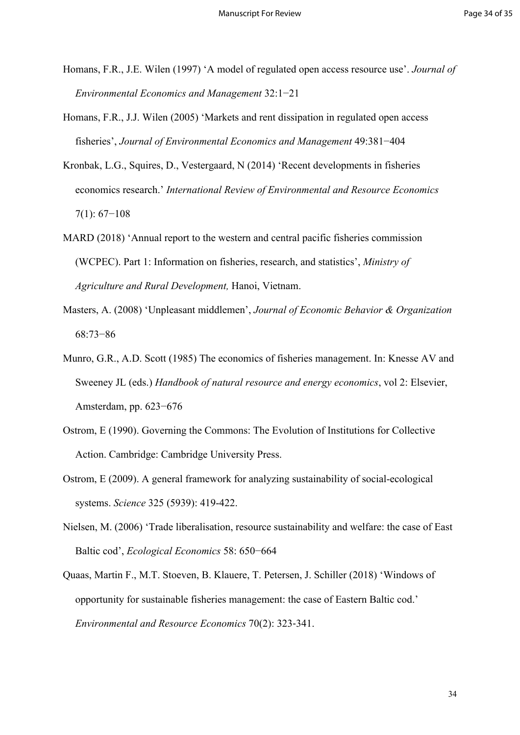- Homans, F.R., J.E. Wilen (1997) 'A model of regulated open access resource use'. *Journal of Environmental Economics and Management* 32:1−21
- Homans, F.R., J.J. Wilen (2005) 'Markets and rent dissipation in regulated open access fisheries', *Journal of Environmental Economics and Management* 49:381−404
- Kronbak, L.G., Squires, D., Vestergaard, N (2014) 'Recent developments in fisheries economics research.' *International Review of Environmental and Resource Economics* 7(1): 67−108
- MARD (2018) 'Annual report to the western and central pacific fisheries commission (WCPEC). Part 1: Information on fisheries, research, and statistics', *Ministry of Agriculture and Rural Development,* Hanoi, Vietnam.
- Masters, A. (2008) 'Unpleasant middlemen', *Journal of Economic Behavior & Organization* 68:73−86
- Munro, G.R., A.D. Scott (1985) The economics of fisheries management. In: Knesse AV and Sweeney JL (eds.) *Handbook of natural resource and energy economics*, vol 2: Elsevier, Amsterdam, pp. 623−676
- Ostrom, E (1990). Governing the Commons: The Evolution of Institutions for Collective Action. Cambridge: Cambridge University Press.
- Ostrom, E (2009). A general framework for analyzing sustainability of social-ecological systems. *Science* 325 (5939): 419-422.
- Nielsen, M. (2006) 'Trade liberalisation, resource sustainability and welfare: the case of East Baltic cod', *Ecological Economics* 58: 650−664
- Quaas, Martin F., M.T. Stoeven, B. Klauere, T. Petersen, J. Schiller (2018) 'Windows of opportunity for sustainable fisheries management: the case of Eastern Baltic cod.' *Environmental and Resource Economics* 70(2): 323‐341.